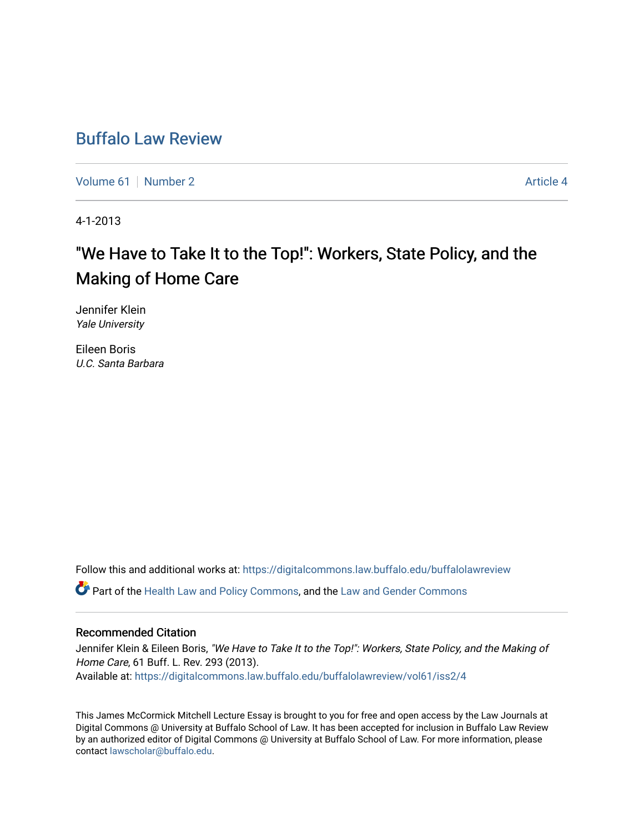# [Buffalo Law Review](https://digitalcommons.law.buffalo.edu/buffalolawreview)

[Volume 61](https://digitalcommons.law.buffalo.edu/buffalolawreview/vol61) [Number 2](https://digitalcommons.law.buffalo.edu/buffalolawreview/vol61/iss2) Article 4

4-1-2013

# "We Have to Take It to the Top!": Workers, State Policy, and the Making of Home Care

Jennifer Klein Yale University

Eileen Boris U.C. Santa Barbara

Follow this and additional works at: [https://digitalcommons.law.buffalo.edu/buffalolawreview](https://digitalcommons.law.buffalo.edu/buffalolawreview?utm_source=digitalcommons.law.buffalo.edu%2Fbuffalolawreview%2Fvol61%2Fiss2%2F4&utm_medium=PDF&utm_campaign=PDFCoverPages) 

Part of the [Health Law and Policy Commons](http://network.bepress.com/hgg/discipline/901?utm_source=digitalcommons.law.buffalo.edu%2Fbuffalolawreview%2Fvol61%2Fiss2%2F4&utm_medium=PDF&utm_campaign=PDFCoverPages), and the [Law and Gender Commons](http://network.bepress.com/hgg/discipline/1298?utm_source=digitalcommons.law.buffalo.edu%2Fbuffalolawreview%2Fvol61%2Fiss2%2F4&utm_medium=PDF&utm_campaign=PDFCoverPages) 

#### Recommended Citation

Jennifer Klein & Eileen Boris, "We Have to Take It to the Top!": Workers, State Policy, and the Making of Home Care, 61 Buff. L. Rev. 293 (2013). Available at: [https://digitalcommons.law.buffalo.edu/buffalolawreview/vol61/iss2/4](https://digitalcommons.law.buffalo.edu/buffalolawreview/vol61/iss2/4?utm_source=digitalcommons.law.buffalo.edu%2Fbuffalolawreview%2Fvol61%2Fiss2%2F4&utm_medium=PDF&utm_campaign=PDFCoverPages) 

This James McCormick Mitchell Lecture Essay is brought to you for free and open access by the Law Journals at Digital Commons @ University at Buffalo School of Law. It has been accepted for inclusion in Buffalo Law Review by an authorized editor of Digital Commons @ University at Buffalo School of Law. For more information, please contact [lawscholar@buffalo.edu.](mailto:lawscholar@buffalo.edu)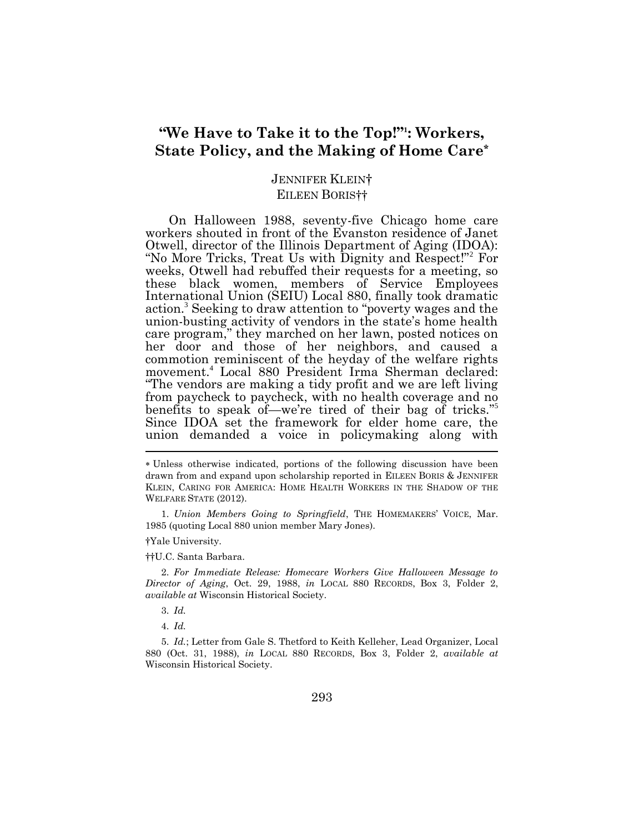## **"We Have to Take it to the Top!"<sup>1</sup> : Workers, State Policy, and the Making of Home Care\***

### JENNIFER KLEIN† EILEEN BORIS††

On Halloween 1988, seventy-five Chicago home care workers shouted in front of the Evanston residence of Janet Otwell, director of the Illinois Department of Aging (IDOA): "No More Tricks, Treat Us with Dignity and Respect!"<sup>2</sup> For weeks, Otwell had rebuffed their requests for a meeting, so these black women, members of Service Employees International Union (SEIU) Local 880, finally took dramatic action.<sup>3</sup> Seeking to draw attention to "poverty wages and the union-busting activity of vendors in the state's home health care program," they marched on her lawn, posted notices on her door and those of her neighbors, and caused a commotion reminiscent of the heyday of the welfare rights movement.<sup>4</sup> Local 880 President Irma Sherman declared: "The vendors are making a tidy profit and we are left living from paycheck to paycheck, with no health coverage and no benefits to speak of—we're tired of their bag of tricks." 5 Since IDOA set the framework for elder home care, the union demanded a voice in policymaking along with Ī

1. *Union Members Going to Springfield*, THE HOMEMAKERS' VOICE, Mar. 1985 (quoting Local 880 union member Mary Jones).

†Yale University.

††U.C. Santa Barbara.

2. *For Immediate Release: Homecare Workers Give Halloween Message to Director of Aging*, Oct. 29, 1988, *in* LOCAL 880 RECORDS, Box 3, Folder 2, *available at* Wisconsin Historical Society.

3. *Id.*

4. *Id.*

5. *Id.*; Letter from Gale S. Thetford to Keith Kelleher, Lead Organizer, Local 880 (Oct. 31, 1988), *in* LOCAL 880 RECORDS, Box 3, Folder 2, *available at*  Wisconsin Historical Society.

Unless otherwise indicated, portions of the following discussion have been drawn from and expand upon scholarship reported in EILEEN BORIS & JENNIFER KLEIN, CARING FOR AMERICA: HOME HEALTH WORKERS IN THE SHADOW OF THE WELFARE STATE (2012).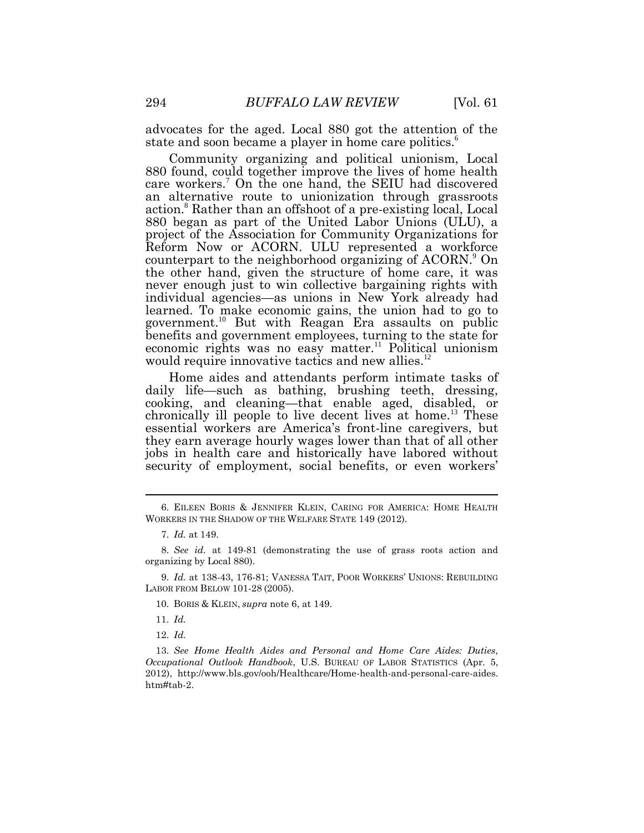advocates for the aged. Local 880 got the attention of the state and soon became a player in home care politics.<sup>6</sup>

Community organizing and political unionism, Local 880 found, could together improve the lives of home health care workers.<sup>7</sup> On the one hand, the SEIU had discovered an alternative route to unionization through grassroots action.<sup>8</sup> Rather than an offshoot of a pre-existing local, Local 880 began as part of the United Labor Unions (ULU), a project of the Association for Community Organizations for Reform Now or ACORN. ULU represented a workforce counterpart to the neighborhood organizing of ACORN.<sup>9</sup> On the other hand, given the structure of home care, it was never enough just to win collective bargaining rights with individual agencies—as unions in New York already had learned. To make economic gains, the union had to go to government.<sup>10</sup> But with Reagan Era assaults on public benefits and government employees, turning to the state for economic rights was no easy matter.<sup>11</sup> Political unionism would require innovative tactics and new allies.<sup>12</sup>

Home aides and attendants perform intimate tasks of daily life—such as bathing, brushing teeth, dressing, cooking, and cleaning—that enable aged, disabled, or chronically ill people to live decent lives at home.<sup>13</sup> These essential workers are America's front-line caregivers, but they earn average hourly wages lower than that of all other jobs in health care and historically have labored without security of employment, social benefits, or even workers'

12. *Id.*

<sup>6.</sup> EILEEN BORIS & JENNIFER KLEIN, CARING FOR AMERICA: HOME HEALTH WORKERS IN THE SHADOW OF THE WELFARE STATE 149 (2012).

<sup>7.</sup> *Id.* at 149.

<sup>8.</sup> *See id.* at 149-81 (demonstrating the use of grass roots action and organizing by Local 880).

<sup>9.</sup> *Id.* at 138-43, 176-81; VANESSA TAIT, POOR WORKERS' UNIONS: REBUILDING LABOR FROM BELOW 101-28 (2005).

<sup>10.</sup> BORIS & KLEIN, *supra* note 6, at 149.

<sup>11.</sup> *Id.*

<sup>13.</sup> *See Home Health Aides and Personal and Home Care Aides: Duties*, *Occupational Outlook Handbook*, U.S. BUREAU OF LABOR STATISTICS (Apr. 5, 2012), http://www.bls.gov/ooh/Healthcare/Home-health-and-personal-care-aides. htm#tab-2.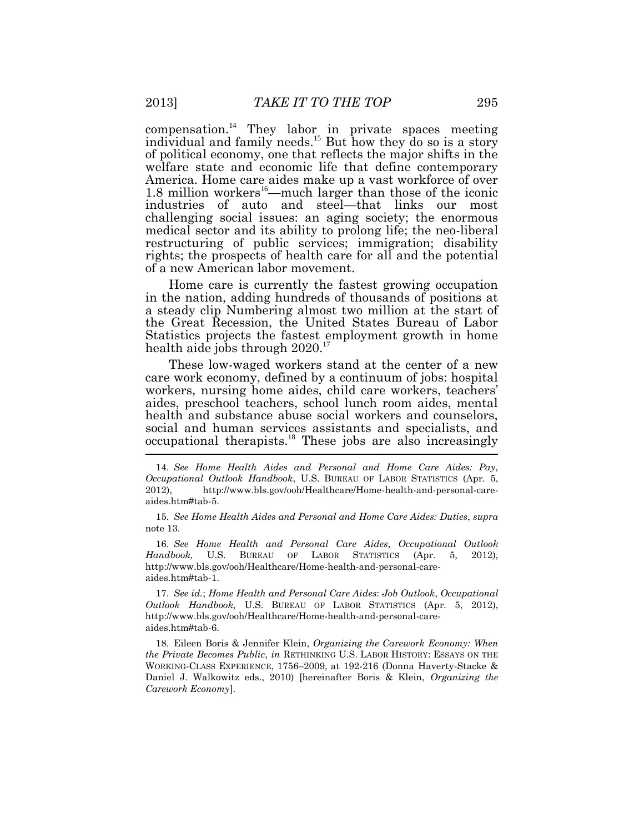compensation.<sup>14</sup> They labor in private spaces meeting individual and family needs.<sup>15</sup> But how they do so is a story of political economy, one that reflects the major shifts in the welfare state and economic life that define contemporary America. Home care aides make up a vast workforce of over 1.8 million workers<sup>16</sup>—much larger than those of the iconic industries of auto and steel—that links our most challenging social issues: an aging society; the enormous medical sector and its ability to prolong life; the neo-liberal restructuring of public services; immigration; disability rights; the prospects of health care for all and the potential of a new American labor movement.

Home care is currently the fastest growing occupation in the nation, adding hundreds of thousands of positions at a steady clip Numbering almost two million at the start of the Great Recession, the United States Bureau of Labor Statistics projects the fastest employment growth in home health aide jobs through 2020.<sup>17</sup>

These low-waged workers stand at the center of a new care work economy, defined by a continuum of jobs: hospital workers, nursing home aides, child care workers, teachers' aides, preschool teachers, school lunch room aides, mental health and substance abuse social workers and counselors, social and human services assistants and specialists, and occupational therapists.<sup>18</sup> These jobs are also increasingly

15. *See Home Health Aides and Personal and Home Care Aides: Duties*, *supra* note 13.

16. *See Home Health and Personal Care Aides*, *Occupational Outlook Handbook,* U.S. BUREAU OF LABOR STATISTICS (Apr. 5, 2012), http://www.bls.gov/ooh/Healthcare/Home-health-and-personal-careaides.htm#tab-1.

17. *See id.*; *Home Health and Personal Care Aides*: *Job Outlook*, *Occupational Outlook Handbook,* U.S. BUREAU OF LABOR STATISTICS (Apr. 5, 2012), http://www.bls.gov/ooh/Healthcare/Home-health-and-personal-careaides.htm#tab-6.

18. Eileen Boris & Jennifer Klein, *Organizing the Carework Economy: When the Private Becomes Public*, *in* RETHINKING U.S. LABOR HISTORY: ESSAYS ON THE WORKING-CLASS EXPERIENCE, 1756–2009, at 192-216 (Donna Haverty-Stacke & Daniel J. Walkowitz eds., 2010) [hereinafter Boris & Klein, *Organizing the Carework Economy*].

<sup>14.</sup> *See Home Health Aides and Personal and Home Care Aides: Pay*, *Occupational Outlook Handbook*, U.S. BUREAU OF LABOR STATISTICS (Apr. 5, 2012), http://www.bls.gov/ooh/Healthcare/Home-health-and-personal-careaides.htm#tab-5.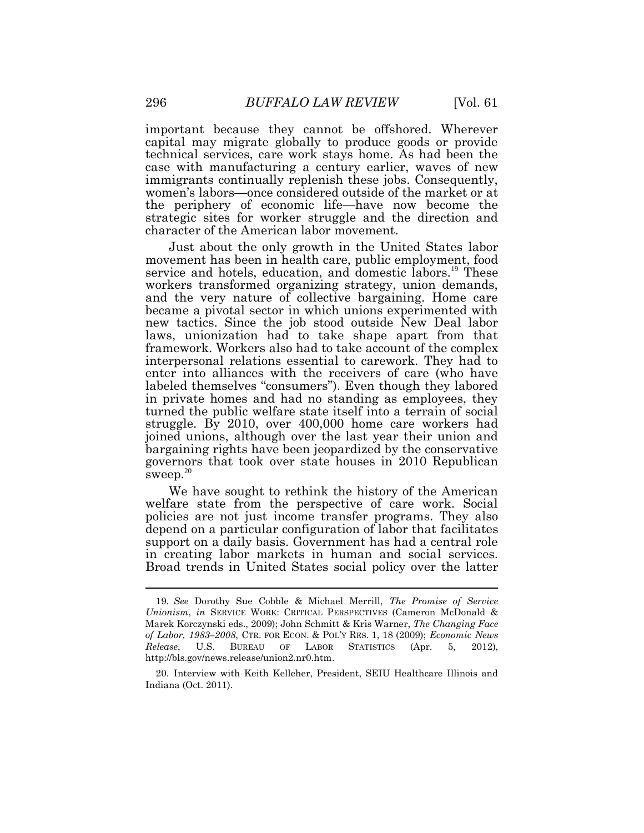important because they cannot be offshored. Wherever capital may migrate globally to produce goods or provide technical services, care work stays home. As had been the case with manufacturing a century earlier, waves of new immigrants continually replenish these jobs. Consequently, women's labors—once considered outside of the market or at the periphery of economic life—have now become the strategic sites for worker struggle and the direction and character of the American labor movement.

Just about the only growth in the United States labor movement has been in health care, public employment, food service and hotels, education, and domestic labors.<sup>19</sup> These workers transformed organizing strategy, union demands, and the very nature of collective bargaining. Home care became a pivotal sector in which unions experimented with new tactics. Since the job stood outside New Deal labor laws, unionization had to take shape apart from that framework. Workers also had to take account of the complex interpersonal relations essential to carework. They had to enter into alliances with the receivers of care (who have labeled themselves "consumers"). Even though they labored in private homes and had no standing as employees, they turned the public welfare state itself into a terrain of social struggle. By 2010, over 400,000 home care workers had joined unions, although over the last year their union and bargaining rights have been jeopardized by the conservative governors that took over state houses in 2010 Republican sweep. $20$ 

We have sought to rethink the history of the American welfare state from the perspective of care work. Social policies are not just income transfer programs. They also depend on a particular configuration of labor that facilitates support on a daily basis. Government has had a central role in creating labor markets in human and social services. Broad trends in United States social policy over the latter

<sup>19</sup>*. See* Dorothy Sue Cobble & Michael Merrill, *The Promise of Service Unionism*, *in* SERVICE WORK: CRITICAL PERSPECTIVES (Cameron McDonald & Marek Korczynski eds., 2009); John Schmitt & Kris Warner, *The Changing Face of Labor, 1983–2008*, CTR. FOR ECON. & POL'Y RES. 1, 18 (2009); *Economic News Release*, U.S. BUREAU OF LABOR STATISTICS (Apr. 5, 2012), http://bls.gov/news.release/union2.nr0.htm.

<sup>20.</sup> Interview with Keith Kelleher, President, SEIU Healthcare Illinois and Indiana (Oct. 2011).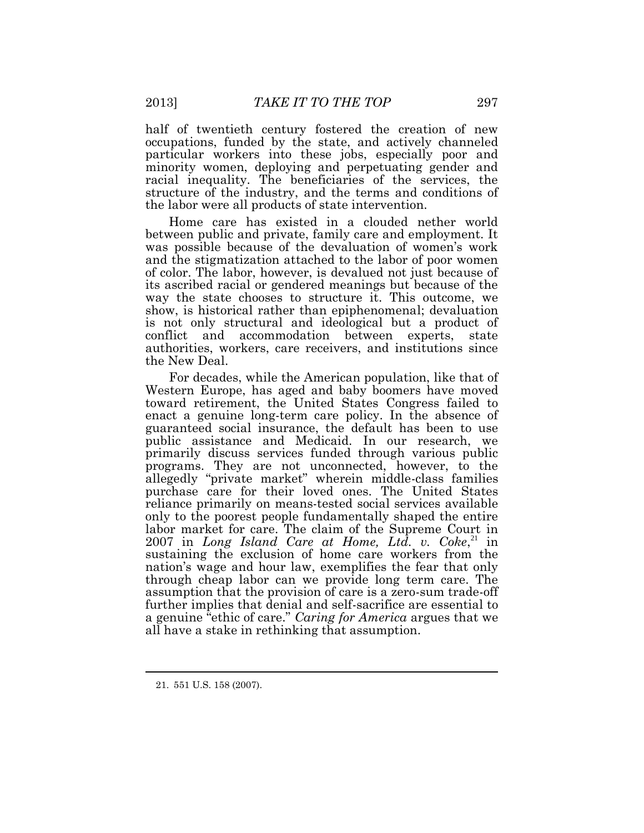half of twentieth century fostered the creation of new occupations, funded by the state, and actively channeled particular workers into these jobs, especially poor and minority women, deploying and perpetuating gender and racial inequality. The beneficiaries of the services, the structure of the industry, and the terms and conditions of the labor were all products of state intervention.

Home care has existed in a clouded nether world between public and private, family care and employment. It was possible because of the devaluation of women's work and the stigmatization attached to the labor of poor women of color. The labor, however, is devalued not just because of its ascribed racial or gendered meanings but because of the way the state chooses to structure it. This outcome, we show, is historical rather than epiphenomenal; devaluation is not only structural and ideological but a product of conflict and accommodation between experts, state authorities, workers, care receivers, and institutions since the New Deal.

For decades, while the American population, like that of Western Europe, has aged and baby boomers have moved toward retirement, the United States Congress failed to enact a genuine long-term care policy. In the absence of guaranteed social insurance, the default has been to use public assistance and Medicaid. In our research, we primarily discuss services funded through various public programs. They are not unconnected, however, to the allegedly "private market" wherein middle-class families purchase care for their loved ones. The United States reliance primarily on means-tested social services available only to the poorest people fundamentally shaped the entire labor market for care. The claim of the Supreme Court in  $2007$  in *Long Island Care at Home, Ltd. v. Coke*, $^{21}$  in sustaining the exclusion of home care workers from the nation's wage and hour law, exemplifies the fear that only through cheap labor can we provide long term care. The assumption that the provision of care is a zero-sum trade-off further implies that denial and self-sacrifice are essential to a genuine "ethic of care." *Caring for America* argues that we all have a stake in rethinking that assumption.

<sup>21.</sup> 551 U.S. 158 (2007).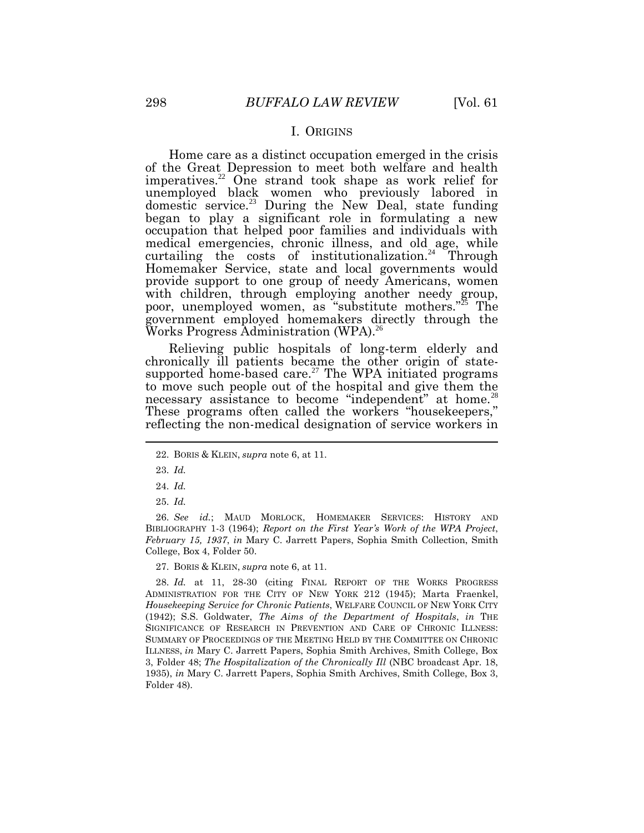#### I. ORIGINS

Home care as a distinct occupation emerged in the crisis of the Great Depression to meet both welfare and health imperatives.<sup>22</sup> One strand took shape as work relief for unemployed black women who previously labored in domestic service.<sup>23</sup> During the New Deal, state funding began to play a significant role in formulating a new occupation that helped poor families and individuals with medical emergencies, chronic illness, and old age, while curtailing the costs of institutionalization.<sup>24</sup> Through Homemaker Service, state and local governments would provide support to one group of needy Americans, women with children, through employing another needy group, poor, unemployed women, as "substitute mothers."<sup>25</sup> The government employed homemakers directly through the Works Progress Administration (WPA).<sup>26</sup>

Relieving public hospitals of long-term elderly and chronically ill patients became the other origin of statesupported home-based care.<sup>27</sup> The WPA initiated programs to move such people out of the hospital and give them the necessary assistance to become "independent" at home.<sup>28</sup> These programs often called the workers "housekeepers," reflecting the non-medical designation of service workers in  $\overline{a}$ 

25. *Id.*

26. *See id.*; MAUD MORLOCK, HOMEMAKER SERVICES: HISTORY AND BIBLIOGRAPHY 1-3 (1964); *Report on the First Year's Work of the WPA Project*, *February 15, 1937*, *in* Mary C. Jarrett Papers, Sophia Smith Collection, Smith College, Box 4, Folder 50.

27. BORIS & KLEIN, *supra* note 6, at 11.

28. *Id.* at 11, 28-30 (citing FINAL REPORT OF THE WORKS PROGRESS ADMINISTRATION FOR THE CITY OF NEW YORK 212 (1945); Marta Fraenkel, *Housekeeping Service for Chronic Patients*, WELFARE COUNCIL OF NEW YORK CITY (1942); S.S. Goldwater, *The Aims of the Department of Hospitals*, *in* THE SIGNIFICANCE OF RESEARCH IN PREVENTION AND CARE OF CHRONIC ILLNESS: SUMMARY OF PROCEEDINGS OF THE MEETING HELD BY THE COMMITTEE ON CHRONIC ILLNESS, *in* Mary C. Jarrett Papers, Sophia Smith Archives, Smith College, Box 3, Folder 48; *The Hospitalization of the Chronically Ill* (NBC broadcast Apr. 18, 1935), *in* Mary C. Jarrett Papers, Sophia Smith Archives, Smith College, Box 3, Folder 48).

<sup>22.</sup> BORIS & KLEIN, *supra* note 6, at 11.

<sup>23.</sup> *Id.*

<sup>24.</sup> *Id.*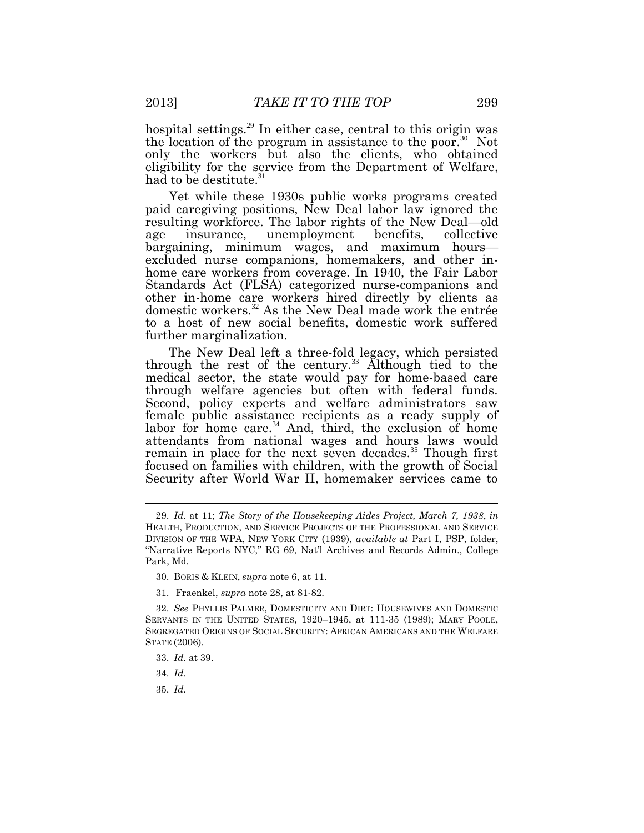hospital settings.<sup>29</sup> In either case, central to this origin was the location of the program in assistance to the poor.<sup>30</sup> Not only the workers but also the clients, who obtained eligibility for the service from the Department of Welfare, had to be destitute.<sup>31</sup>

Yet while these 1930s public works programs created paid caregiving positions, New Deal labor law ignored the resulting workforce. The labor rights of the New Deal—old age insurance, unemployment benefits, collective bargaining, minimum wages, and maximum hours excluded nurse companions, homemakers, and other inhome care workers from coverage. In 1940, the Fair Labor Standards Act (FLSA) categorized nurse-companions and other in-home care workers hired directly by clients as domestic workers.<sup>32</sup> As the New Deal made work the entrée to a host of new social benefits, domestic work suffered further marginalization.

The New Deal left a three-fold legacy, which persisted through the rest of the century.<sup>33</sup> Although tied to the medical sector, the state would pay for home-based care through welfare agencies but often with federal funds. Second, policy experts and welfare administrators saw female public assistance recipients as a ready supply of labor for home care.<sup>34</sup> And, third, the exclusion of home attendants from national wages and hours laws would remain in place for the next seven decades.<sup>35</sup> Though first focused on families with children, with the growth of Social Security after World War II, homemaker services came to

- 30. BORIS & KLEIN, *supra* note 6, at 11.
- 31. Fraenkel, *supra* note 28, at 81-82.

- 34. *Id.*
- 35. *Id.*

<sup>29.</sup> *Id.* at 11; *The Story of the Housekeeping Aides Project, March 7, 1938*, *in* HEALTH, PRODUCTION, AND SERVICE PROJECTS OF THE PROFESSIONAL AND SERVICE DIVISION OF THE WPA, NEW YORK CITY (1939), *available at* Part I, PSP, folder, "Narrative Reports NYC," RG 69, Nat'l Archives and Records Admin., College Park, Md.

<sup>32.</sup> *See* PHYLLIS PALMER, DOMESTICITY AND DIRT: HOUSEWIVES AND DOMESTIC SERVANTS IN THE UNITED STATES, 1920–1945, at 111-35 (1989); MARY POOLE, SEGREGATED ORIGINS OF SOCIAL SECURITY: AFRICAN AMERICANS AND THE WELFARE STATE (2006).

<sup>33.</sup> *Id.* at 39.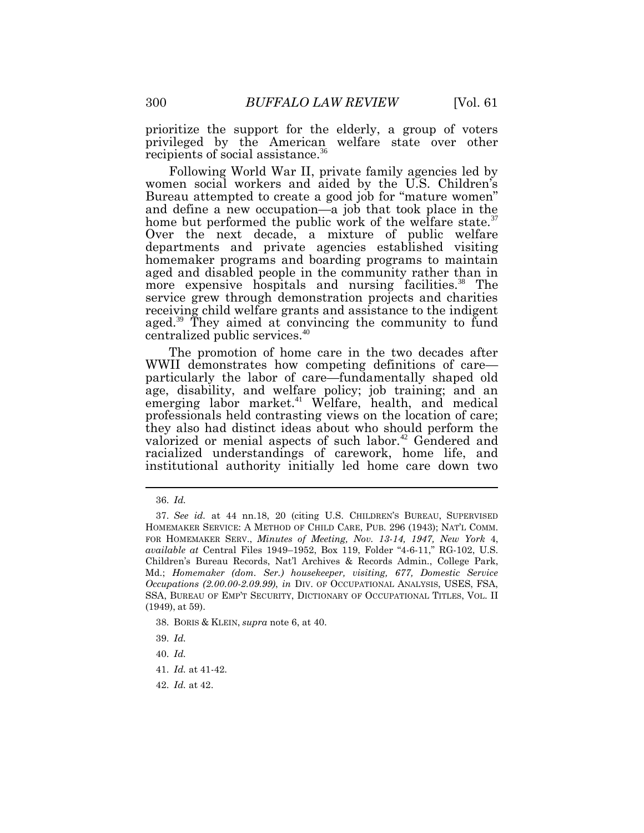prioritize the support for the elderly, a group of voters privileged by the American welfare state over other recipients of social assistance.<sup>36</sup>

Following World War II, private family agencies led by women social workers and aided by the U.S. Children's Bureau attempted to create a good job for "mature women" and define a new occupation—a job that took place in the home but performed the public work of the welfare state.<sup>3</sup> Over the next decade, a mixture of public welfare departments and private agencies established visiting homemaker programs and boarding programs to maintain aged and disabled people in the community rather than in more expensive hospitals and nursing facilities.<sup>38</sup> The service grew through demonstration projects and charities receiving child welfare grants and assistance to the indigent aged.<sup>39</sup> They aimed at convincing the community to fund centralized public services.<sup>40</sup>

The promotion of home care in the two decades after WWII demonstrates how competing definitions of care particularly the labor of care—fundamentally shaped old age, disability, and welfare policy; job training; and an emerging labor market.<sup>41</sup> Welfare, health, and medical professionals held contrasting views on the location of care; they also had distinct ideas about who should perform the valorized or menial aspects of such labor.<sup>42</sup> Gendered and racialized understandings of carework, home life, and institutional authority initially led home care down two

<sup>36.</sup> *Id.*

<sup>37.</sup> *See id.* at 44 nn.18, 20 (citing U.S. CHILDREN'S BUREAU, SUPERVISED HOMEMAKER SERVICE: A METHOD OF CHILD CARE, PUB. 296 (1943); NAT'L COMM. FOR HOMEMAKER SERV., *Minutes of Meeting, Nov. 13-14, 1947, New York* 4, *available at* Central Files 1949–1952, Box 119, Folder "4-6-11," RG-102, U.S. Children's Bureau Records, Nat'l Archives & Records Admin., College Park, Md.; *Homemaker (dom. Ser.) housekeeper, visiting, 677, Domestic Service Occupations (2.00.00-2.09.99)*, *in* DIV. OF OCCUPATIONAL ANALYSIS, USES, FSA, SSA, BUREAU OF EMP'T SECURITY, DICTIONARY OF OCCUPATIONAL TITLES, VOL. II (1949), at 59).

<sup>38.</sup> BORIS & KLEIN, *supra* note 6, at 40.

<sup>39.</sup> *Id.*

<sup>40.</sup> *Id.*

<sup>41.</sup> *Id.* at 41-42.

<sup>42.</sup> *Id.* at 42.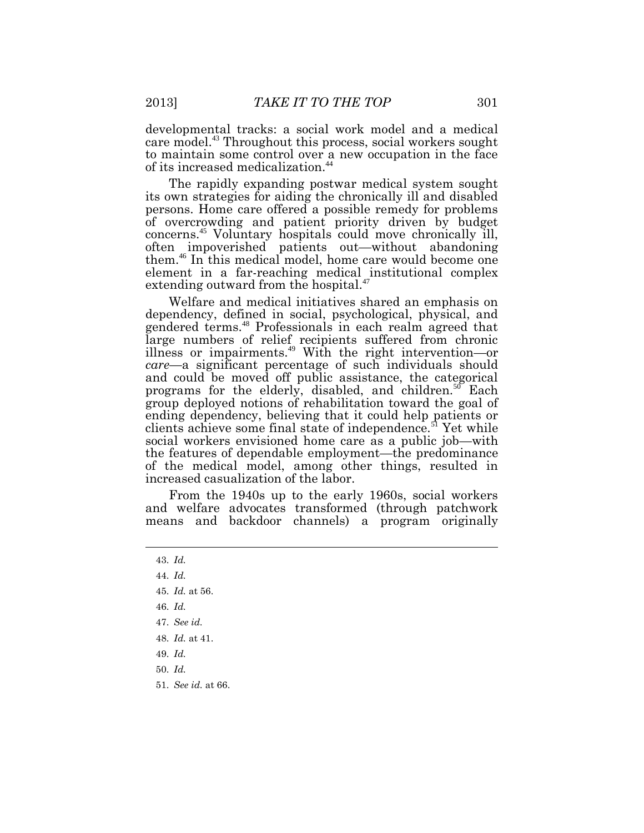developmental tracks: a social work model and a medical care model. <sup>43</sup> Throughout this process, social workers sought to maintain some control over a new occupation in the face of its increased medicalization.<sup>44</sup>

The rapidly expanding postwar medical system sought its own strategies for aiding the chronically ill and disabled persons. Home care offered a possible remedy for problems of overcrowding and patient priority driven by budget concerns.<sup>45</sup> Voluntary hospitals could move chronically ill, often impoverished patients out—without abandoning them.<sup>46</sup> In this medical model, home care would become one element in a far-reaching medical institutional complex extending outward from the hospital.<sup>47</sup>

Welfare and medical initiatives shared an emphasis on dependency, defined in social, psychological, physical, and gendered terms.<sup>48</sup> Professionals in each realm agreed that large numbers of relief recipients suffered from chronic illness or impairments.<sup>49</sup> With the right intervention—or *care*—a significant percentage of such individuals should and could be moved off public assistance, the categorical programs for the elderly, disabled, and children.<sup>50</sup> Each group deployed notions of rehabilitation toward the goal of ending dependency, believing that it could help patients or clients achieve some final state of independence.<sup>51</sup> Yet while social workers envisioned home care as a public job—with the features of dependable employment—the predominance of the medical model, among other things, resulted in increased casualization of the labor.

From the 1940s up to the early 1960s, social workers and welfare advocates transformed (through patchwork means and backdoor channels) a program originally

- 43. *Id.*
- 44. *Id.*
- 45. *Id.* at 56.
- 46. *Id.*
- 47. *See id.*
- 48. *Id.* at 41.
- 49. *Id.*
- 50. *Id.*
- 51. *See id.* at 66.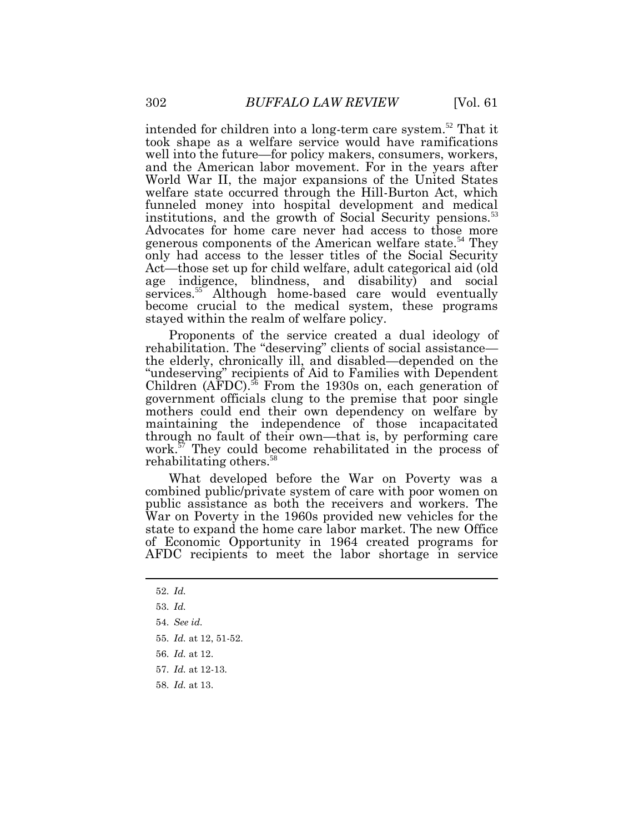intended for children into a long-term care system.<sup>52</sup> That it took shape as a welfare service would have ramifications well into the future—for policy makers, consumers, workers, and the American labor movement. For in the years after World War II, the major expansions of the United States welfare state occurred through the Hill-Burton Act, which funneled money into hospital development and medical institutions, and the growth of Social Security pensions.<sup>53</sup> Advocates for home care never had access to those more generous components of the American welfare state.<sup>54</sup> They only had access to the lesser titles of the Social Security Act—those set up for child welfare, adult categorical aid (old age indigence, blindness, and disability) and social services.<sup>55</sup> Although home-based care would eventually become crucial to the medical system, these programs stayed within the realm of welfare policy.

Proponents of the service created a dual ideology of rehabilitation. The "deserving" clients of social assistance the elderly, chronically ill, and disabled—depended on the "undeserving" recipients of Aid to Families with Dependent Children (AFDC).<sup>56</sup> From the 1930s on, each generation of government officials clung to the premise that poor single mothers could end their own dependency on welfare by maintaining the independence of those incapacitated through no fault of their own—that is, by performing care work.<sup>57</sup> They could become rehabilitated in the process of rehabilitating others.<sup>58</sup>

What developed before the War on Poverty was a combined public/private system of care with poor women on public assistance as both the receivers and workers. The War on Poverty in the 1960s provided new vehicles for the state to expand the home care labor market. The new Office of Economic Opportunity in 1964 created programs for AFDC recipients to meet the labor shortage in service

58. *Id.* at 13.

<sup>52.</sup> *Id.*

<sup>53.</sup> *Id.*

<sup>54.</sup> *See id.*

<sup>55.</sup> *Id.* at 12, 51-52.

<sup>56.</sup> *Id.* at 12.

<sup>57.</sup> *Id.* at 12-13.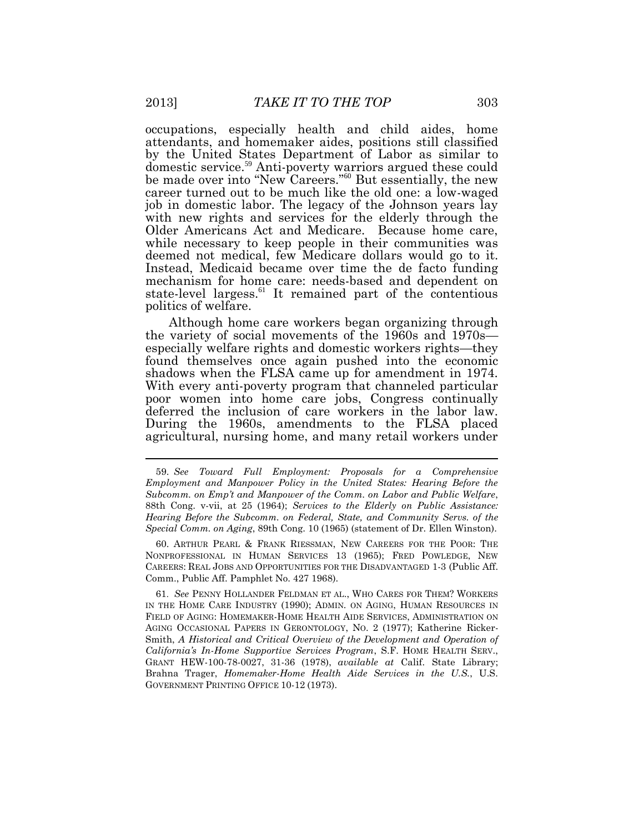occupations, especially health and child aides, home attendants, and homemaker aides, positions still classified by the United States Department of Labor as similar to domestic service.<sup>59</sup> Anti-poverty warriors argued these could be made over into "New Careers."<sup>60</sup> But essentially, the new career turned out to be much like the old one: a low-waged job in domestic labor. The legacy of the Johnson years lay with new rights and services for the elderly through the Older Americans Act and Medicare. Because home care, while necessary to keep people in their communities was deemed not medical, few Medicare dollars would go to it. Instead, Medicaid became over time the de facto funding mechanism for home care: needs-based and dependent on state-level largess.<sup>61</sup> It remained part of the contentious politics of welfare.

Although home care workers began organizing through the variety of social movements of the 1960s and 1970s especially welfare rights and domestic workers rights—they found themselves once again pushed into the economic shadows when the FLSA came up for amendment in 1974. With every anti-poverty program that channeled particular poor women into home care jobs, Congress continually deferred the inclusion of care workers in the labor law. During the 1960s, amendments to the FLSA placed agricultural, nursing home, and many retail workers under

60. ARTHUR PEARL & FRANK RIESSMAN, NEW CAREERS FOR THE POOR: THE NONPROFESSIONAL IN HUMAN SERVICES 13 (1965); FRED POWLEDGE, NEW CAREERS: REAL JOBS AND OPPORTUNITIES FOR THE DISADVANTAGED 1-3 (Public Aff. Comm., Public Aff. Pamphlet No. 427 1968).

61. *See* PENNY HOLLANDER FELDMAN ET AL., WHO CARES FOR THEM? WORKERS IN THE HOME CARE INDUSTRY (1990); ADMIN. ON AGING, HUMAN RESOURCES IN FIELD OF AGING: HOMEMAKER-HOME HEALTH AIDE SERVICES, ADMINISTRATION ON AGING OCCASIONAL PAPERS IN GERONTOLOGY, NO. 2 (1977); Katherine Ricker-Smith, *A Historical and Critical Overview of the Development and Operation of California's In-Home Supportive Services Program*, S.F. HOME HEALTH SERV., GRANT HEW-100-78-0027, 31-36 (1978), *available at* Calif. State Library; Brahna Trager, *Homemaker-Home Health Aide Services in the U.S.*, U.S. GOVERNMENT PRINTING OFFICE 10-12 (1973).

<sup>59.</sup> *See Toward Full Employment: Proposals for a Comprehensive Employment and Manpower Policy in the United States: Hearing Before the Subcomm. on Emp't and Manpower of the Comm. on Labor and Public Welfare*, 88th Cong. v-vii, at 25 (1964); *Services to the Elderly on Public Assistance: Hearing Before the Subcomm. on Federal, State, and Community Servs. of the Special Comm. on Aging*, 89th Cong. 10 (1965) (statement of Dr. Ellen Winston).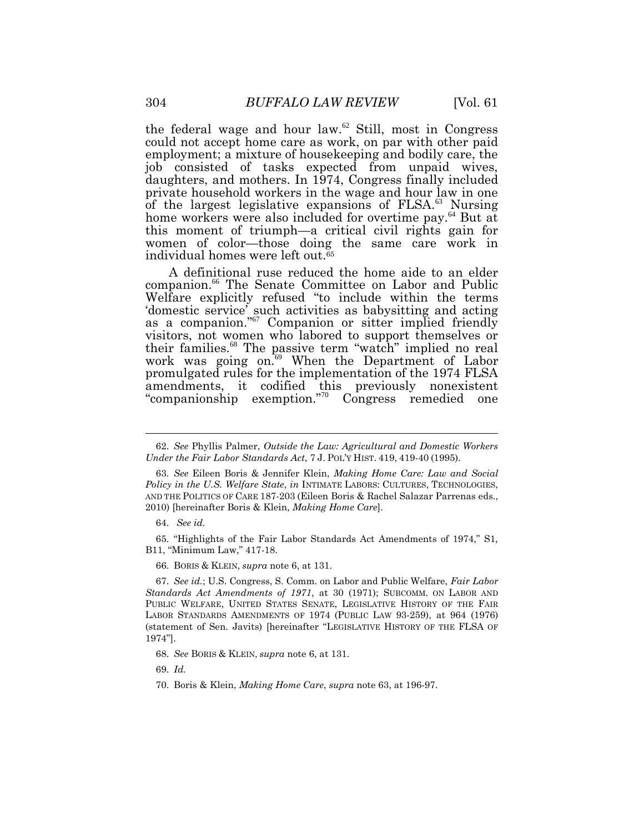the federal wage and hour law. $62$  Still, most in Congress could not accept home care as work, on par with other paid employment; a mixture of housekeeping and bodily care, the job consisted of tasks expected from unpaid wives, daughters, and mothers. In 1974, Congress finally included private household workers in the wage and hour law in one of the largest legislative expansions of FLSA.<sup>63</sup> Nursing home workers were also included for overtime pay.<sup>64</sup> But at this moment of triumph—a critical civil rights gain for women of color—those doing the same care work in individual homes were left out. 65

A definitional ruse reduced the home aide to an elder companion.<sup>66</sup> The Senate Committee on Labor and Public Welfare explicitly refused "to include within the terms 'domestic service' such activities as babysitting and acting as a companion." <sup>67</sup> Companion or sitter implied friendly visitors, not women who labored to support themselves or their families.<sup>68</sup> The passive term "watch" implied no real work was going on.<sup>69</sup> When the Department of Labor promulgated rules for the implementation of the 1974 FLSA amendments, it codified this previously nonexistent "companionship exemption."<sup>70</sup> Congress remedied one

65. "Highlights of the Fair Labor Standards Act Amendments of 1974," S1, B11, "Minimum Law," 417-18.

66. BORIS & KLEIN, *supra* note 6, at 131.

67. *See id.*; U.S. Congress, S. Comm. on Labor and Public Welfare, *Fair Labor Standards Act Amendments of 1971*, at 30 (1971); SUBCOMM. ON LABOR AND PUBLIC WELFARE, UNITED STATES SENATE, LEGISLATIVE HISTORY OF THE FAIR LABOR STANDARDS AMENDMENTS OF 1974 (PUBLIC LAW 93-259), at 964 (1976) (statement of Sen. Javits) [hereinafter "LEGISLATIVE HISTORY OF THE FLSA OF 1974"].

69. *Id.*

<sup>62.</sup> *See* Phyllis Palmer, *Outside the Law: Agricultural and Domestic Workers Under the Fair Labor Standards Act*, 7 J. POL'Y HIST. 419, 419-40 (1995).

<sup>63.</sup> *See* Eileen Boris & Jennifer Klein, *Making Home Care: Law and Social Policy in the U.S. Welfare State*, *in* INTIMATE LABORS: CULTURES, TECHNOLOGIES, AND THE POLITICS OF CARE 187-203 (Eileen Boris & Rachel Salazar Parrenas eds., 2010) [hereinafter Boris & Klein, *Making Home Care*].

<sup>64.</sup> *See id.*

<sup>68.</sup> *See* BORIS & KLEIN, *supra* note 6, at 131.

<sup>70.</sup> Boris & Klein, *Making Home Care*, *supra* note 63, at 196-97.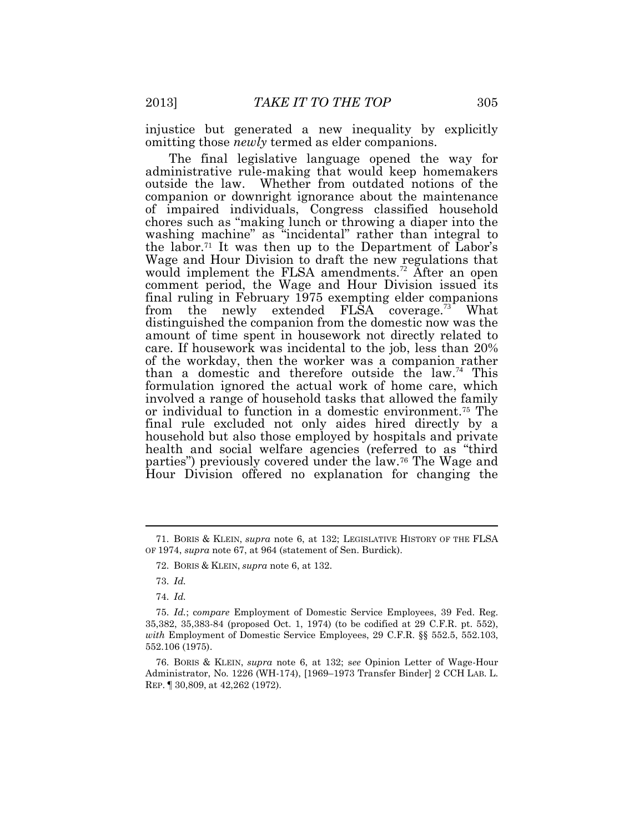injustice but generated a new inequality by explicitly omitting those *newly* termed as elder companions.

The final legislative language opened the way for administrative rule-making that would keep homemakers outside the law. Whether from outdated notions of the companion or downright ignorance about the maintenance of impaired individuals, Congress classified household chores such as "making lunch or throwing a diaper into the washing machine" as "incidental" rather than integral to the labor.<sup>71</sup> It was then up to the Department of Labor's Wage and Hour Division to draft the new regulations that would implement the FLSA amendments.<sup>72</sup> After an open comment period, the Wage and Hour Division issued its final ruling in February 1975 exempting elder companions from the newly extended FLSA coverage.<sup>73</sup> What distinguished the companion from the domestic now was the amount of time spent in housework not directly related to care. If housework was incidental to the job, less than 20% of the workday, then the worker was a companion rather than a domestic and therefore outside the  $\text{law}^{\mathcal{I}4}$  This formulation ignored the actual work of home care, which involved a range of household tasks that allowed the family or individual to function in a domestic environment.<sup>75</sup> The final rule excluded not only aides hired directly by a household but also those employed by hospitals and private health and social welfare agencies (referred to as "third parties") previously covered under the law.<sup>76</sup> The Wage and Hour Division offered no explanation for changing the

<sup>71.</sup> BORIS & KLEIN, *supra* note 6, at 132; LEGISLATIVE HISTORY OF THE FLSA OF 1974, *supra* note 67, at 964 (statement of Sen. Burdick).

<sup>72.</sup> BORIS & KLEIN, *supra* note 6, at 132.

<sup>73.</sup> *Id.*

<sup>74.</sup> *Id.*

<sup>75.</sup> *Id.*; c*ompare* Employment of Domestic Service Employees, 39 Fed. Reg. 35,382, 35,383-84 (proposed Oct. 1, 1974) (to be codified at 29 C.F.R. pt. 552), *with* Employment of Domestic Service Employees, 29 C.F.R. §§ 552.5, 552.103, 552.106 (1975).

<sup>76.</sup> BORIS & KLEIN, *supra* note 6, at 132; s*ee* Opinion Letter of Wage-Hour Administrator, No. 1226 (WH-174), [1969–1973 Transfer Binder] 2 CCH LAB. L. REP. ¶ 30,809, at 42,262 (1972).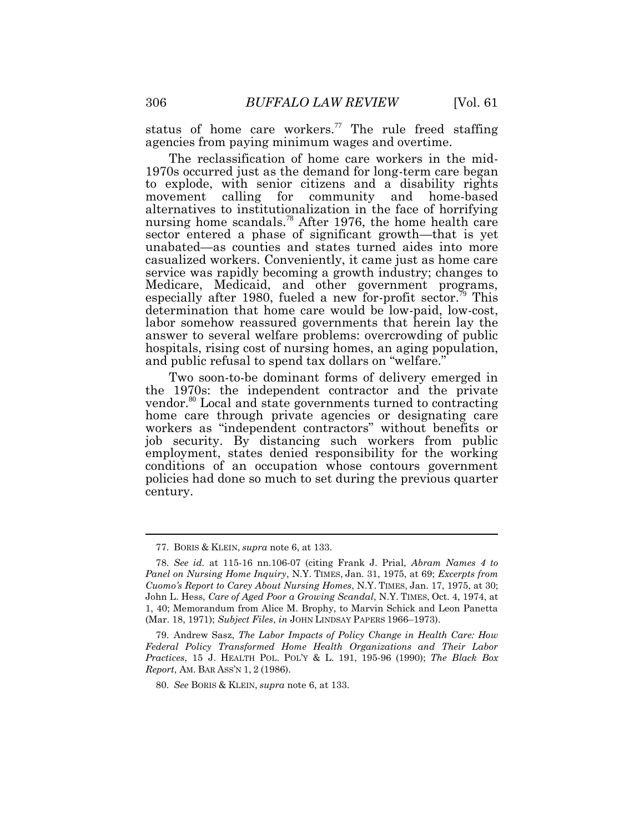status of home care workers.<sup>77</sup> The rule freed staffing agencies from paying minimum wages and overtime.

The reclassification of home care workers in the mid-1970s occurred just as the demand for long-term care began to explode, with senior citizens and a disability rights movement calling for community and home-based alternatives to institutionalization in the face of horrifying nursing home scandals.<sup>78</sup> After 1976, the home health care sector entered a phase of significant growth—that is yet unabated—as counties and states turned aides into more casualized workers. Conveniently, it came just as home care service was rapidly becoming a growth industry; changes to Medicare, Medicaid, and other government programs, especially after 1980, fueled a new for-profit sector.<sup>79</sup> This determination that home care would be low-paid, low-cost, labor somehow reassured governments that herein lay the answer to several welfare problems: overcrowding of public hospitals, rising cost of nursing homes, an aging population, and public refusal to spend tax dollars on "welfare."

Two soon-to-be dominant forms of delivery emerged in the 1970s: the independent contractor and the private vendor.<sup>80</sup> Local and state governments turned to contracting home care through private agencies or designating care workers as "independent contractors" without benefits or job security. By distancing such workers from public employment, states denied responsibility for the working conditions of an occupation whose contours government policies had done so much to set during the previous quarter century.

<sup>77.</sup> BORIS & KLEIN, *supra* note 6, at 133.

<sup>78.</sup> *See id.* at 115-16 nn.106-07 (citing Frank J. Prial, *Abram Names 4 to Panel on Nursing Home Inquiry*, N.Y. TIMES, Jan. 31, 1975, at 69; *Excerpts from Cuomo's Report to Carey About Nursing Homes*, N.Y. TIMES, Jan. 17, 1975, at 30; John L. Hess, *Care of Aged Poor a Growing Scandal*, N.Y. TIMES, Oct. 4, 1974, at 1, 40; Memorandum from Alice M. Brophy, to Marvin Schick and Leon Panetta (Mar. 18, 1971); *Subject Files*, *in* JOHN LINDSAY PAPERS 1966–1973).

<sup>79.</sup> Andrew Sasz, *The Labor Impacts of Policy Change in Health Care: How Federal Policy Transformed Home Health Organizations and Their Labor Practices*, 15 J. HEALTH POL. POL'Y & L. 191, 195-96 (1990); *The Black Box Report*, AM. BAR ASS'N 1, 2 (1986).

<sup>80.</sup> *See* BORIS & KLEIN, *supra* note 6, at 133.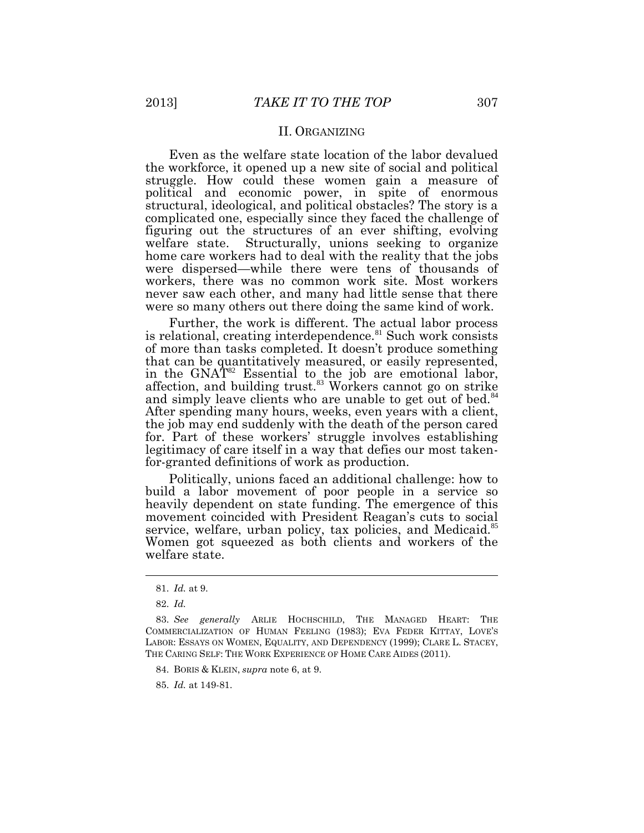#### II. ORGANIZING

Even as the welfare state location of the labor devalued the workforce, it opened up a new site of social and political struggle. How could these women gain a measure of political and economic power, in spite of enormous structural, ideological, and political obstacles? The story is a complicated one, especially since they faced the challenge of figuring out the structures of an ever shifting, evolving welfare state. Structurally, unions seeking to organize home care workers had to deal with the reality that the jobs were dispersed—while there were tens of thousands of workers, there was no common work site. Most workers never saw each other, and many had little sense that there were so many others out there doing the same kind of work.

Further, the work is different. The actual labor process is relational, creating interdependence.<sup>81</sup> Such work consists of more than tasks completed. It doesn't produce something that can be quantitatively measured, or easily represented, in the GNAT<sup>82</sup> Essential to the job are emotional labor, affection, and building trust.<sup>83</sup> Workers cannot go on strike and simply leave clients who are unable to get out of bed.<sup>84</sup> After spending many hours, weeks, even years with a client, the job may end suddenly with the death of the person cared for. Part of these workers' struggle involves establishing legitimacy of care itself in a way that defies our most takenfor-granted definitions of work as production.

Politically, unions faced an additional challenge: how to build a labor movement of poor people in a service so heavily dependent on state funding. The emergence of this movement coincided with President Reagan's cuts to social service, welfare, urban policy, tax policies, and Medicaid.<sup>85</sup> Women got squeezed as both clients and workers of the welfare state.

<sup>81.</sup> *Id.* at 9.

<sup>82.</sup> *Id.*

<sup>83.</sup> *See generally* ARLIE HOCHSCHILD, THE MANAGED HEART: THE COMMERCIALIZATION OF HUMAN FEELING (1983); EVA FEDER KITTAY, LOVE'S LABOR: ESSAYS ON WOMEN, EQUALITY, AND DEPENDENCY (1999); CLARE L. STACEY, THE CARING SELF: THE WORK EXPERIENCE OF HOME CARE AIDES (2011).

<sup>84.</sup> BORIS & KLEIN, *supra* note 6, at 9.

<sup>85.</sup> *Id.* at 149-81.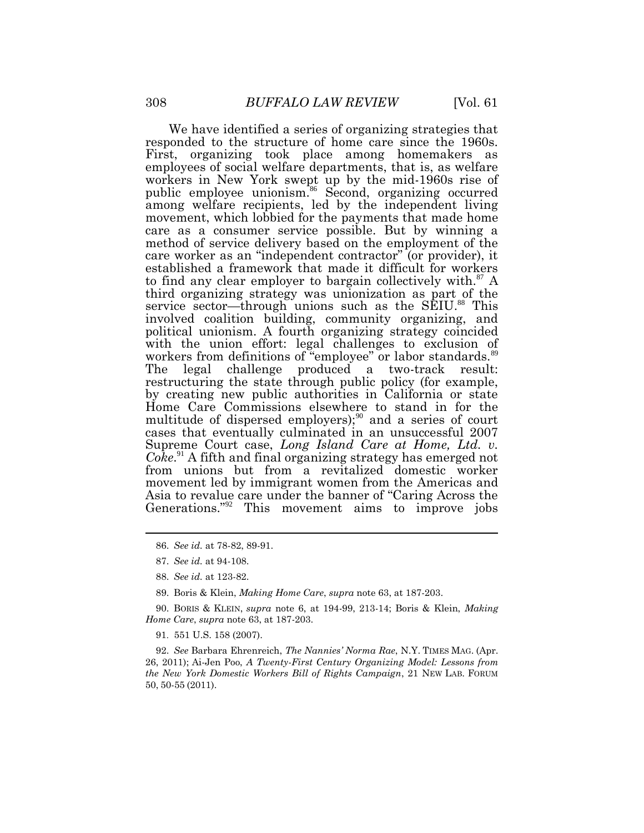We have identified a series of organizing strategies that responded to the structure of home care since the 1960s. First, organizing took place among homemakers as employees of social welfare departments, that is, as welfare workers in New York swept up by the mid-1960s rise of public employee unionism.<sup>86</sup> Second, organizing occurred among welfare recipients, led by the independent living movement, which lobbied for the payments that made home care as a consumer service possible. But by winning a method of service delivery based on the employment of the care worker as an "independent contractor" (or provider), it established a framework that made it difficult for workers to find any clear employer to bargain collectively with.<sup>87</sup> A third organizing strategy was unionization as part of the service sector—through unions such as the SEIU.<sup>88</sup> This involved coalition building, community organizing, and political unionism. A fourth organizing strategy coincided with the union effort: legal challenges to exclusion of workers from definitions of "employee" or labor standards.<sup>89</sup> The legal challenge produced a two-track result: restructuring the state through public policy (for example, by creating new public authorities in California or state Home Care Commissions elsewhere to stand in for the multitude of dispersed employers);<sup>90</sup> and a series of court cases that eventually culminated in an unsuccessful 2007 Supreme Court case, *Long Island Care at Home, Ltd. v. Coke*. <sup>91</sup> A fifth and final organizing strategy has emerged not from unions but from a revitalized domestic worker movement led by immigrant women from the Americas and Asia to revalue care under the banner of "Caring Across the Generations."<sup>92</sup> This movement aims to improve jobs

- 88. *See id.* at 123-82.
- 89. Boris & Klein, *Making Home Care*, *supra* note 63, at 187-203.

90. BORIS & KLEIN, *supra* note 6, at 194-99, 213-14; Boris & Klein, *Making Home Care*, *supra* note 63, at 187-203.

91. 551 U.S. 158 (2007).

92. *See* Barbara Ehrenreich, *The Nannies' Norma Rae*, N.Y. TIMES MAG. (Apr. 26, 2011); Ai-Jen Poo, *A Twenty-First Century Organizing Model: Lessons from the New York Domestic Workers Bill of Rights Campaign*, 21 NEW LAB. FORUM 50, 50-55 (2011).

<sup>86.</sup> *See id.* at 78-82, 89-91.

<sup>87.</sup> *See id.* at 94-108.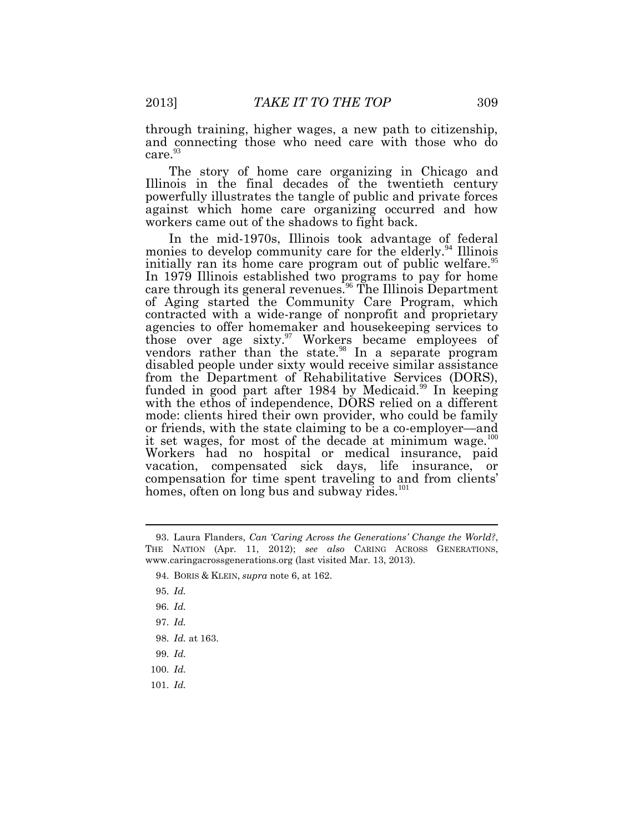through training, higher wages, a new path to citizenship, and connecting those who need care with those who do care.<sup>93</sup>

The story of home care organizing in Chicago and Illinois in the final decades of the twentieth century powerfully illustrates the tangle of public and private forces against which home care organizing occurred and how workers came out of the shadows to fight back.

In the mid-1970s, Illinois took advantage of federal monies to develop community care for the elderly.<sup>94</sup> Illinois initially ran its home care program out of public welfare.<sup>95</sup> In 1979 Illinois established two programs to pay for home care through its general revenues.<sup>96</sup> The Illinois Department of Aging started the Community Care Program, which contracted with a wide-range of nonprofit and proprietary agencies to offer homemaker and housekeeping services to those over age sixty. <sup>97</sup> Workers became employees of vendors rather than the state.<sup>98</sup> In a separate program disabled people under sixty would receive similar assistance from the Department of Rehabilitative Services (DORS), funded in good part after 1984 by Medicaid.<sup>99</sup> In keeping with the ethos of independence, DORS relied on a different mode: clients hired their own provider, who could be family or friends, with the state claiming to be a co-employer—and it set wages, for most of the decade at minimum wage.<sup>100</sup> Workers had no hospital or medical insurance, paid vacation, compensated sick days, life insurance, or compensation for time spent traveling to and from clients' homes, often on long bus and subway rides.<sup>101</sup>

101. *Id.*

<sup>93.</sup> Laura Flanders, *Can 'Caring Across the Generations' Change the World?*, THE NATION (Apr. 11, 2012); *see also* CARING ACROSS GENERATIONS, www.caringacrossgenerations.org (last visited Mar. 13, 2013).

<sup>94.</sup> BORIS & KLEIN, *supra* note 6, at 162.

<sup>95.</sup> *Id.*

<sup>96.</sup> *Id.*

<sup>97.</sup> *Id.*

<sup>98.</sup> *Id.* at 163.

<sup>99.</sup> *Id.*

<sup>100.</sup> *Id.*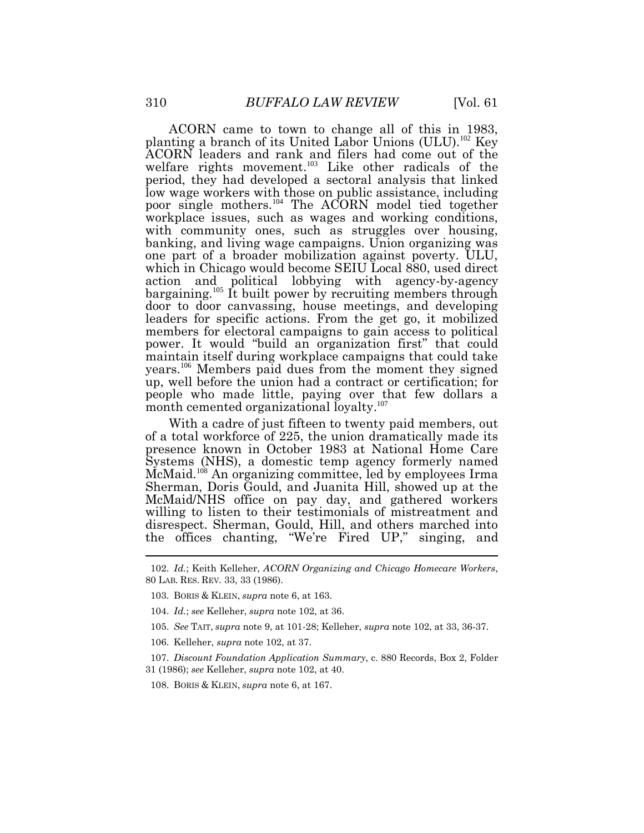ACORN came to town to change all of this in 1983, planting a branch of its United Labor Unions (ULU). <sup>102</sup> Key ACORN leaders and rank and filers had come out of the welfare rights movement.<sup>103</sup> Like other radicals of the period, they had developed a sectoral analysis that linked low wage workers with those on public assistance, including poor single mothers.<sup>104</sup> The ACORN model tied together workplace issues, such as wages and working conditions, with community ones, such as struggles over housing, banking, and living wage campaigns. Union organizing was one part of a broader mobilization against poverty. ULU, which in Chicago would become SEIU Local 880, used direct action and political lobbying with agency-by-agency bargaining.<sup>105</sup> It built power by recruiting members through door to door canvassing, house meetings, and developing leaders for specific actions. From the get go, it mobilized members for electoral campaigns to gain access to political power. It would "build an organization first" that could maintain itself during workplace campaigns that could take years.<sup>106</sup> Members paid dues from the moment they signed up, well before the union had a contract or certification; for people who made little, paying over that few dollars a month cemented organizational loyalty.<sup>107</sup>

With a cadre of just fifteen to twenty paid members, out of a total workforce of 225, the union dramatically made its presence known in October 1983 at National Home Care Systems (NHS), a domestic temp agency formerly named McMaid.<sup>108</sup> An organizing committee, led by employees Irma Sherman, Doris Gould, and Juanita Hill, showed up at the McMaid/NHS office on pay day, and gathered workers willing to listen to their testimonials of mistreatment and disrespect. Sherman, Gould, Hill, and others marched into the offices chanting, "We're Fired UP," singing, and

- 103. BORIS & KLEIN, *supra* note 6, at 163.
- 104. *Id.*; *see* Kelleher, *supra* note 102, at 36.
- 105. *See* TAIT, *supra* note 9, at 101-28; Kelleher, *supra* note 102, at 33, 36-37.
- 106. Kelleher, *supra* note 102, at 37.
- 107. *Discount Foundation Application Summary*, c. 880 Records, Box 2, Folder 31 (1986); *see* Kelleher, *supra* note 102, at 40.
- 108. BORIS & KLEIN, *supra* note 6, at 167.

<sup>102.</sup> *Id.*; Keith Kelleher, *ACORN Organizing and Chicago Homecare Workers*, 80 LAB*.* RES. REV*.* 33, 33 (1986).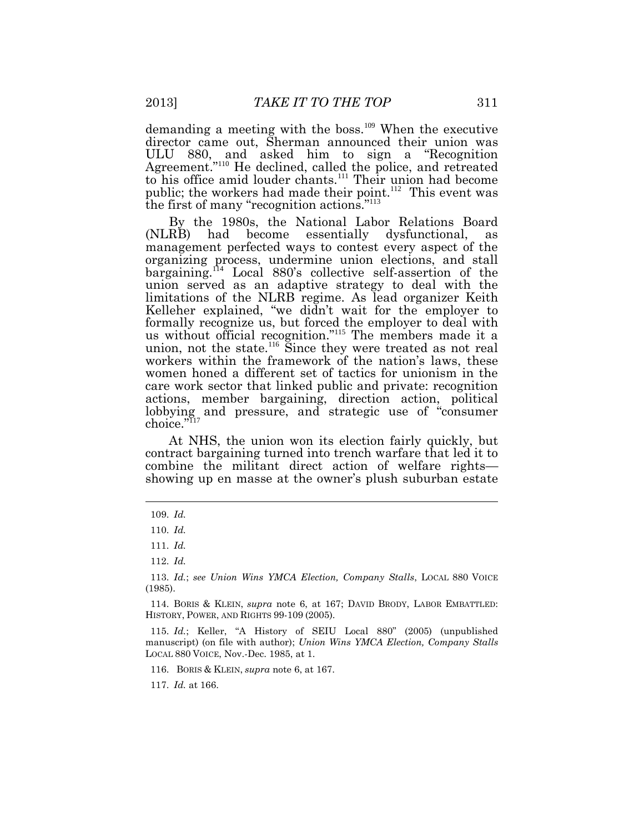demanding a meeting with the boss.<sup>109</sup> When the executive director came out, Sherman announced their union was ULU 880, and asked him to sign a "Recognition Agreement."<sup>110</sup> He declined, called the police, and retreated to his office amid louder chants.<sup>111</sup> Their union had become public; the workers had made their point.<sup>112</sup> This event was the first of many "recognition actions."<sup>113</sup>

By the 1980s, the National Labor Relations Board (NLRB) had become essentially dysfunctional, as management perfected ways to contest every aspect of the organizing process, undermine union elections, and stall bargaining.<sup>114</sup> Local 880's collective self-assertion of the union served as an adaptive strategy to deal with the limitations of the NLRB regime. As lead organizer Keith Kelleher explained, "we didn't wait for the employer to formally recognize us, but forced the employer to deal with us without official recognition."<sup>115</sup> The members made it a union, not the state.<sup>116</sup> Since they were treated as not real workers within the framework of the nation's laws, these women honed a different set of tactics for unionism in the care work sector that linked public and private: recognition actions, member bargaining, direction action, political lobbying and pressure, and strategic use of "consumer choice."<sup>117</sup>

At NHS, the union won its election fairly quickly, but contract bargaining turned into trench warfare that led it to combine the militant direct action of welfare rights showing up en masse at the owner's plush suburban estate

116. BORIS & KLEIN, *supra* note 6, at 167.

117. *Id.* at 166.

<sup>109.</sup> *Id.*

<sup>110.</sup> *Id.*

<sup>111.</sup> *Id.*

<sup>112.</sup> *Id.*

<sup>113.</sup> *Id.*; *see Union Wins YMCA Election, Company Stalls*, LOCAL 880 VOICE (1985).

<sup>114.</sup> BORIS & KLEIN, *supra* note 6, at 167; DAVID BRODY, LABOR EMBATTLED: HISTORY, POWER, AND RIGHTS 99-109 (2005).

<sup>115.</sup> *Id.*; Keller, "A History of SEIU Local 880" (2005) (unpublished manuscript) (on file with author); *Union Wins YMCA Election, Company Stalls* LOCAL 880 VOICE, Nov.-Dec. 1985, at 1.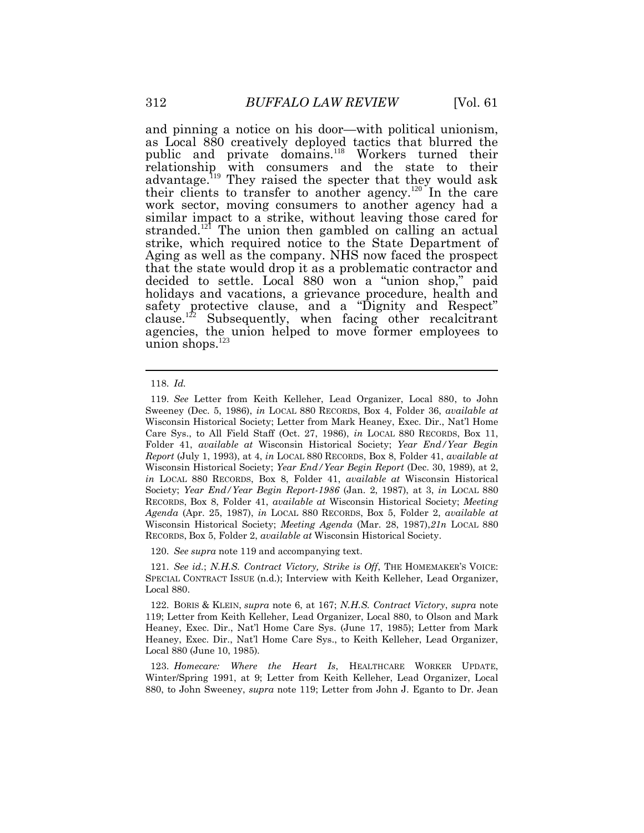and pinning a notice on his door—with political unionism, as Local 880 creatively deployed tactics that blurred the public and private domains.<sup>118</sup> Workers turned their relationship with consumers and the state to their advantage.<sup>119</sup> They raised the specter that they would ask their clients to transfer to another agency.<sup>120</sup> In the care work sector, moving consumers to another agency had a similar impact to a strike, without leaving those cared for stranded.<sup>121</sup> The union then gambled on calling an actual strike, which required notice to the State Department of Aging as well as the company. NHS now faced the prospect that the state would drop it as a problematic contractor and decided to settle. Local 880 won a "union shop," paid holidays and vacations, a grievance procedure, health and safety protective clause, and a "Dignity and Respect" clause.<sup>122</sup> Subsequently, when facing other recalcitrant agencies, the union helped to move former employees to union shops. $123$ 

120. *See supra* note 119 and accompanying text.

121. *See id.*; *N.H.S. Contract Victory, Strike is Off*, THE HOMEMAKER'S VOICE: SPECIAL CONTRACT ISSUE (n.d.); Interview with Keith Kelleher, Lead Organizer, Local 880.

<sup>118.</sup> *Id.*

<sup>119.</sup> *See* Letter from Keith Kelleher, Lead Organizer, Local 880, to John Sweeney (Dec. 5, 1986), *in* LOCAL 880 RECORDS, Box 4, Folder 36, *available at*  Wisconsin Historical Society; Letter from Mark Heaney, Exec. Dir., Nat'l Home Care Sys., to All Field Staff (Oct. 27, 1986), *in* LOCAL 880 RECORDS, Box 11, Folder 41, *available at* Wisconsin Historical Society; *Year End/Year Begin Report* (July 1, 1993), at 4, *in* LOCAL 880 RECORDS, Box 8, Folder 41, *available at*  Wisconsin Historical Society; *Year End/Year Begin Report* (Dec. 30, 1989), at 2, *in* LOCAL 880 RECORDS, Box 8, Folder 41, *available at* Wisconsin Historical Society; *Year End/Year Begin Report-1986* (Jan. 2, 1987), at 3, *in* LOCAL 880 RECORDS, Box 8, Folder 41, *available at* Wisconsin Historical Society; *Meeting Agenda* (Apr. 25, 1987), *in* LOCAL 880 RECORDS, Box 5, Folder 2, *available at*  Wisconsin Historical Society; *Meeting Agenda* (Mar. 28, 1987),*21n* LOCAL 880 RECORDS, Box 5, Folder 2, *available at* Wisconsin Historical Society.

<sup>122.</sup> BORIS & KLEIN, *supra* note 6, at 167; *N.H.S. Contract Victory*, *supra* note 119; Letter from Keith Kelleher, Lead Organizer, Local 880, to Olson and Mark Heaney, Exec. Dir., Nat'l Home Care Sys. (June 17, 1985); Letter from Mark Heaney, Exec. Dir., Nat'l Home Care Sys., to Keith Kelleher, Lead Organizer, Local 880 (June 10, 1985).

<sup>123.</sup> *Homecare: Where the Heart Is*, HEALTHCARE WORKER UPDATE, Winter/Spring 1991, at 9; Letter from Keith Kelleher, Lead Organizer, Local 880, to John Sweeney, *supra* note 119; Letter from John J. Eganto to Dr. Jean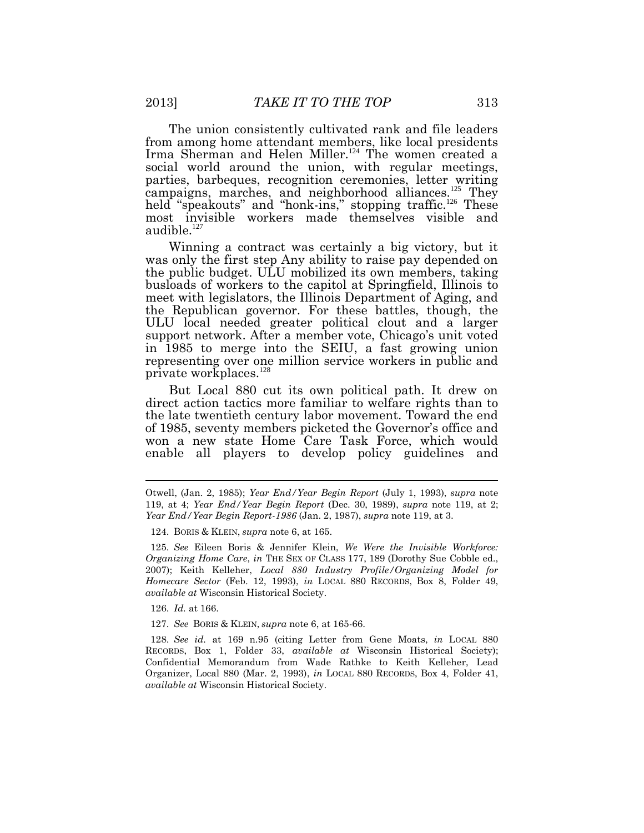The union consistently cultivated rank and file leaders from among home attendant members, like local presidents Irma Sherman and Helen Miller.<sup>124</sup> The women created a social world around the union, with regular meetings, parties, barbeques, recognition ceremonies, letter writing campaigns, marches, and neighborhood alliances.<sup>125</sup> They held "speakouts" and "honk-ins," stopping traffic.<sup>126</sup> These most invisible workers made themselves visible and audible.<sup>127</sup>

Winning a contract was certainly a big victory, but it was only the first step Any ability to raise pay depended on the public budget. ULU mobilized its own members, taking busloads of workers to the capitol at Springfield, Illinois to meet with legislators, the Illinois Department of Aging, and the Republican governor. For these battles, though, the ULU local needed greater political clout and a larger support network. After a member vote, Chicago's unit voted in 1985 to merge into the SEIU, a fast growing union representing over one million service workers in public and private workplaces.<sup>128</sup>

But Local 880 cut its own political path. It drew on direct action tactics more familiar to welfare rights than to the late twentieth century labor movement. Toward the end of 1985, seventy members picketed the Governor's office and won a new state Home Care Task Force, which would enable all players to develop policy guidelines and

126. *Id.* at 166.

127. *See* BORIS & KLEIN, *supra* note 6, at 165-66.

128. *See id.* at 169 n.95 (citing Letter from Gene Moats, *in* LOCAL 880 RECORDS, Box 1, Folder 33, *available at* Wisconsin Historical Society); Confidential Memorandum from Wade Rathke to Keith Kelleher, Lead Organizer, Local 880 (Mar. 2, 1993), *in* LOCAL 880 RECORDS, Box 4, Folder 41, *available at* Wisconsin Historical Society.

Otwell, (Jan. 2, 1985); *Year End/Year Begin Report* (July 1, 1993), *supra* note 119, at 4; *Year End/Year Begin Report* (Dec. 30, 1989), *supra* note 119, at 2; *Year End/Year Begin Report-1986* (Jan. 2, 1987), *supra* note 119, at 3.

<sup>124.</sup> BORIS & KLEIN, *supra* note 6, at 165.

<sup>125.</sup> *See* Eileen Boris & Jennifer Klein, *We Were the Invisible Workforce: Organizing Home Care*, *in* THE SEX OF CLASS 177, 189 (Dorothy Sue Cobble ed., 2007); Keith Kelleher, *Local 880 Industry Profile/Organizing Model for Homecare Sector* (Feb. 12, 1993), *in* LOCAL 880 RECORDS, Box 8, Folder 49, *available at* Wisconsin Historical Society.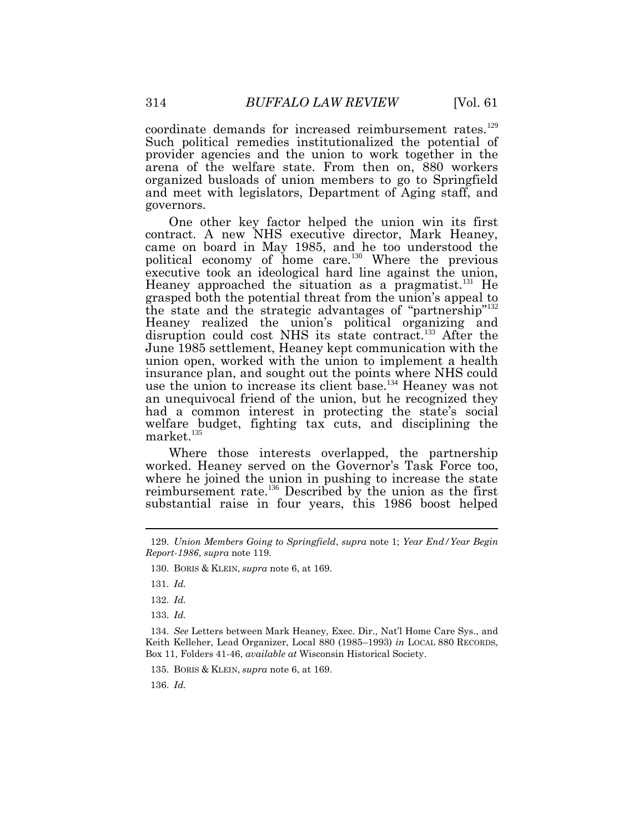coordinate demands for increased reimbursement rates.<sup>129</sup> Such political remedies institutionalized the potential of provider agencies and the union to work together in the arena of the welfare state. From then on, 880 workers organized busloads of union members to go to Springfield and meet with legislators, Department of Aging staff, and governors.

One other key factor helped the union win its first contract. A new NHS executive director, Mark Heaney, came on board in May 1985, and he too understood the political economy of home care.<sup>130</sup> Where the previous executive took an ideological hard line against the union, Heaney approached the situation as a pragmatist.<sup>131</sup> He grasped both the potential threat from the union's appeal to the state and the strategic advantages of "partnership" 132 Heaney realized the union's political organizing and disruption could cost NHS its state contract.<sup>133</sup> After the June 1985 settlement, Heaney kept communication with the union open, worked with the union to implement a health insurance plan, and sought out the points where NHS could use the union to increase its client base.<sup>134</sup> Heaney was not an unequivocal friend of the union, but he recognized they had a common interest in protecting the state's social welfare budget, fighting tax cuts, and disciplining the market.<sup>135</sup>

Where those interests overlapped, the partnership worked. Heaney served on the Governor's Task Force too, where he joined the union in pushing to increase the state reimbursement rate.<sup>136</sup> Described by the union as the first substantial raise in four years, this 1986 boost helped

131. *Id.*

132. *Id.*

133. *Id.*

134. *See* Letters between Mark Heaney, Exec. Dir., Nat'l Home Care Sys., and Keith Kelleher, Lead Organizer, Local 880 (1985–1993) *in* LOCAL 880 RECORDS, Box 11, Folders 41-46, *available at* Wisconsin Historical Society.

135. BORIS & KLEIN, *supra* note 6, at 169.

136. *Id.*

<sup>129.</sup> *Union Members Going to Springfield*, *supra* note 1; *Year End/Year Begin Report-1986*, *supra* note 119.

<sup>130.</sup> BORIS & KLEIN, *supra* note 6, at 169.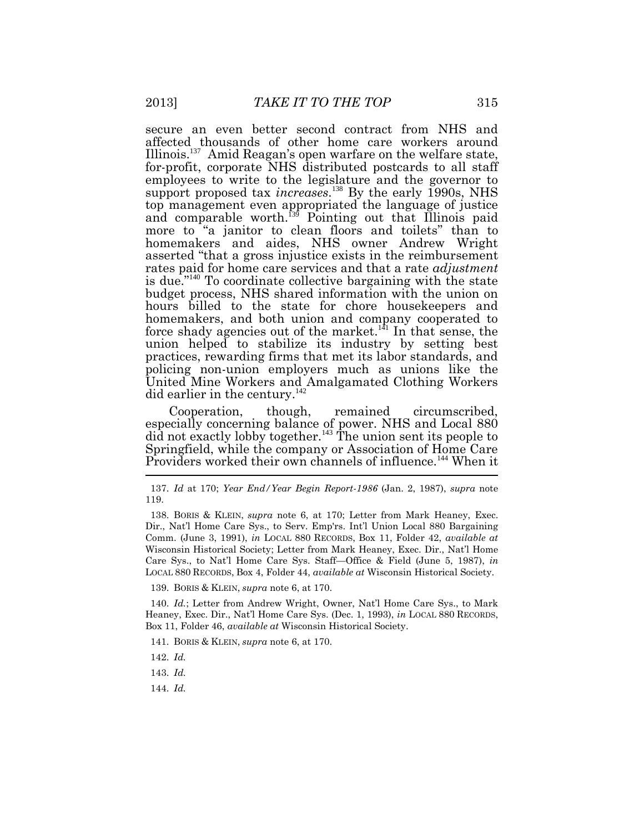secure an even better second contract from NHS and affected thousands of other home care workers around Illinois.<sup>137</sup> Amid Reagan's open warfare on the welfare state, for-profit, corporate NHS distributed postcards to all staff employees to write to the legislature and the governor to support proposed tax *increases*.<sup>138</sup> By the early 1990s, NHS top management even appropriated the language of justice and comparable worth.<sup>139</sup> Pointing out that Illinois paid more to "a janitor to clean floors and toilets" than to homemakers and aides, NHS owner Andrew Wright asserted "that a gross injustice exists in the reimbursement rates paid for home care services and that a rate *adjustment* is due."<sup>140</sup> To coordinate collective bargaining with the state budget process, NHS shared information with the union on hours billed to the state for chore housekeepers and homemakers, and both union and company cooperated to force shady agencies out of the market.<sup> $4$ 1</sup> In that sense, the union helped to stabilize its industry by setting best practices, rewarding firms that met its labor standards, and policing non-union employers much as unions like the United Mine Workers and Amalgamated Clothing Workers did earlier in the century.<sup>142</sup>

Cooperation, though, remained circumscribed, especially concerning balance of power. NHS and Local 880 did not exactly lobby together.<sup>143</sup> The union sent its people to Springfield, while the company or Association of Home Care Providers worked their own channels of influence.<sup>144</sup> When it

138. BORIS & KLEIN, *supra* note 6, at 170; Letter from Mark Heaney, Exec. Dir., Nat'l Home Care Sys., to Serv. Emp'rs. Int'l Union Local 880 Bargaining Comm. (June 3, 1991), *in* LOCAL 880 RECORDS, Box 11, Folder 42, *available at*  Wisconsin Historical Society; Letter from Mark Heaney, Exec. Dir., Nat'l Home Care Sys., to Nat'l Home Care Sys. Staff—Office & Field (June 5, 1987), *in*  LOCAL 880 RECORDS, Box 4, Folder 44, *available at* Wisconsin Historical Society.

139. BORIS & KLEIN, *supra* note 6, at 170.

140. *Id.*; Letter from Andrew Wright, Owner, Nat'l Home Care Sys., to Mark Heaney, Exec. Dir., Nat'l Home Care Sys. (Dec. 1, 1993), *in* LOCAL 880 RECORDS, Box 11, Folder 46, *available at* Wisconsin Historical Society.

141. BORIS & KLEIN, *supra* note 6, at 170.

142. *Id.*

143. *Id.*

144. *Id.*

<sup>137.</sup> *Id* at 170; *Year End/Year Begin Report-1986* (Jan. 2, 1987), *supra* note 119.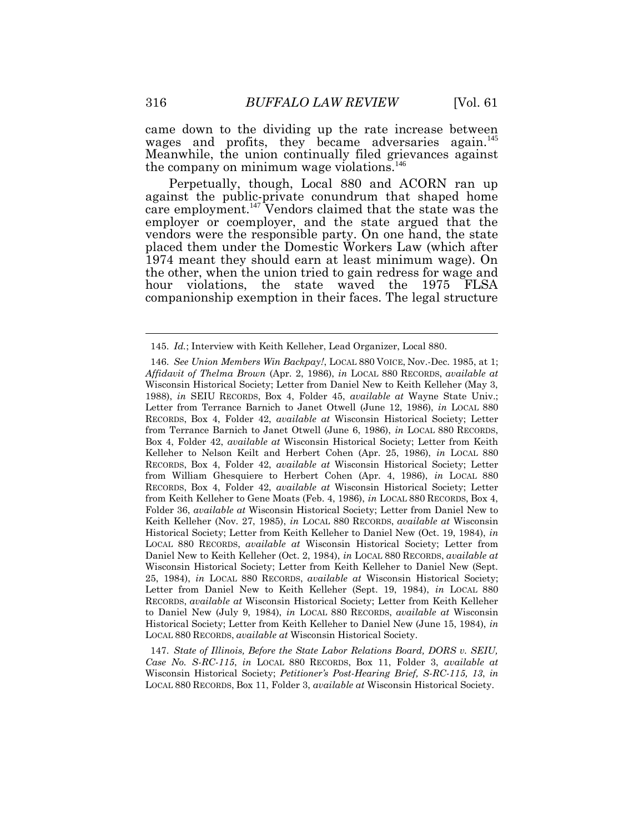came down to the dividing up the rate increase between wages and profits, they became adversaries again.<sup>145</sup> Meanwhile, the union continually filed grievances against the company on minimum wage violations.<sup>146</sup>

Perpetually, though, Local 880 and ACORN ran up against the public-private conundrum that shaped home care employment.<sup>147</sup> Vendors claimed that the state was the employer or coemployer, and the state argued that the vendors were the responsible party. On one hand, the state placed them under the Domestic Workers Law (which after 1974 meant they should earn at least minimum wage). On the other, when the union tried to gain redress for wage and hour violations, the state waved the 1975 FLSA companionship exemption in their faces. The legal structure

147. *State of Illinois, Before the State Labor Relations Board, DORS v. SEIU, Case No. S-RC-115*, *in* LOCAL 880 RECORDS, Box 11, Folder 3, *available at*  Wisconsin Historical Society; *Petitioner's Post-Hearing Brief, S-RC-115, 13*, *in*  LOCAL 880 RECORDS, Box 11, Folder 3, *available at* Wisconsin Historical Society.

<sup>145.</sup> *Id.*; Interview with Keith Kelleher, Lead Organizer, Local 880.

<sup>146.</sup> *See Union Members Win Backpay!*, LOCAL 880 VOICE, Nov.-Dec. 1985, at 1; *Affidavit of Thelma Brown* (Apr. 2, 1986), *in* LOCAL 880 RECORDS, *available at*  Wisconsin Historical Society; Letter from Daniel New to Keith Kelleher (May 3, 1988), *in* SEIU RECORDS, Box 4, Folder 45, *available at* Wayne State Univ.; Letter from Terrance Barnich to Janet Otwell (June 12, 1986), *in* LOCAL 880 RECORDS, Box 4, Folder 42, *available at* Wisconsin Historical Society; Letter from Terrance Barnich to Janet Otwell (June 6, 1986), *in* LOCAL 880 RECORDS, Box 4, Folder 42, *available at* Wisconsin Historical Society; Letter from Keith Kelleher to Nelson Keilt and Herbert Cohen (Apr. 25, 1986), *in* LOCAL 880 RECORDS, Box 4, Folder 42, *available at* Wisconsin Historical Society; Letter from William Ghesquiere to Herbert Cohen (Apr. 4, 1986), *in* LOCAL 880 RECORDS, Box 4, Folder 42, *available at* Wisconsin Historical Society; Letter from Keith Kelleher to Gene Moats (Feb. 4, 1986), *in* LOCAL 880 RECORDS, Box 4, Folder 36, *available at* Wisconsin Historical Society; Letter from Daniel New to Keith Kelleher (Nov. 27, 1985), *in* LOCAL 880 RECORDS, *available at* Wisconsin Historical Society; Letter from Keith Kelleher to Daniel New (Oct. 19, 1984), *in*  LOCAL 880 RECORDS, *available at* Wisconsin Historical Society; Letter from Daniel New to Keith Kelleher (Oct. 2, 1984), *in* LOCAL 880 RECORDS, *available at*  Wisconsin Historical Society; Letter from Keith Kelleher to Daniel New (Sept. 25, 1984), *in* LOCAL 880 RECORDS, *available at* Wisconsin Historical Society; Letter from Daniel New to Keith Kelleher (Sept. 19, 1984), *in* LOCAL 880 RECORDS, *available at* Wisconsin Historical Society; Letter from Keith Kelleher to Daniel New (July 9, 1984), *in* LOCAL 880 RECORDS, *available at* Wisconsin Historical Society; Letter from Keith Kelleher to Daniel New (June 15, 1984), *in*  LOCAL 880 RECORDS, *available at* Wisconsin Historical Society.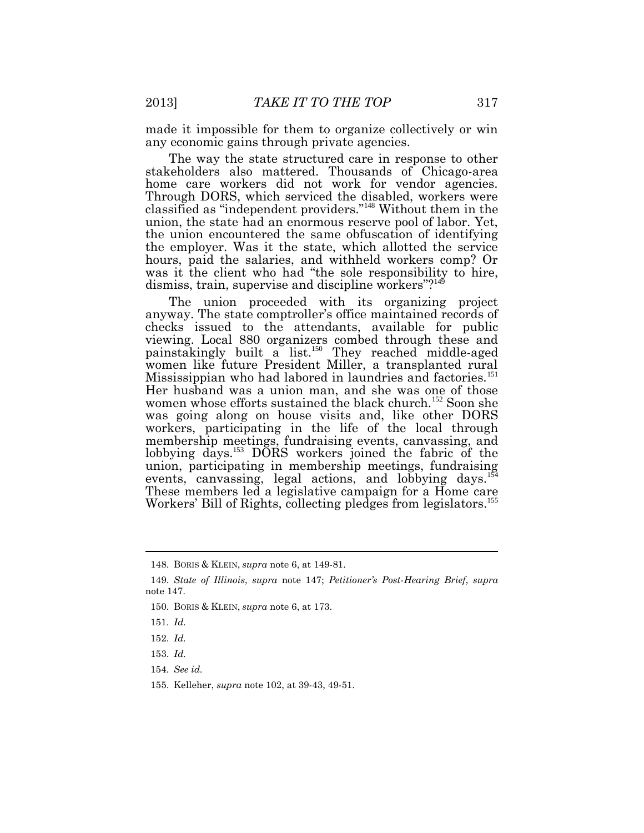made it impossible for them to organize collectively or win any economic gains through private agencies.

The way the state structured care in response to other stakeholders also mattered. Thousands of Chicago-area home care workers did not work for vendor agencies. Through DORS, which serviced the disabled, workers were classified as "independent providers." <sup>148</sup> Without them in the union, the state had an enormous reserve pool of labor. Yet, the union encountered the same obfuscation of identifying the employer. Was it the state, which allotted the service hours, paid the salaries, and withheld workers comp? Or was it the client who had "the sole responsibility to hire, dismiss, train, supervise and discipline workers"?<sup>149</sup>

The union proceeded with its organizing project anyway. The state comptroller's office maintained records of checks issued to the attendants, available for public viewing. Local 880 organizers combed through these and painstakingly built a list.<sup>150</sup> They reached middle-aged women like future President Miller, a transplanted rural Mississippian who had labored in laundries and factories.<sup>151</sup> Her husband was a union man, and she was one of those women whose efforts sustained the black church.<sup>152</sup> Soon she was going along on house visits and, like other DORS workers, participating in the life of the local through membership meetings, fundraising events, canvassing, and lobbying days.<sup>153</sup> DORS workers joined the fabric of the union, participating in membership meetings, fundraising events, canvassing, legal actions, and lobbying days.<sup>15</sup> These members led a legislative campaign for a Home care Workers' Bill of Rights, collecting pledges from legislators.<sup>155</sup>

150. BORIS & KLEIN, *supra* note 6, at 173.

<sup>148.</sup> BORIS & KLEIN, *supra* note 6, at 149-81.

<sup>149.</sup> *State of Illinois*, *supra* note 147; *Petitioner's Post-Hearing Brief*, *supra*  note 147.

<sup>151.</sup> *Id.*

<sup>152.</sup> *Id.*

<sup>153.</sup> *Id.*

<sup>154.</sup> *See id.*

<sup>155.</sup> Kelleher, *supra* note 102, at 39-43, 49-51.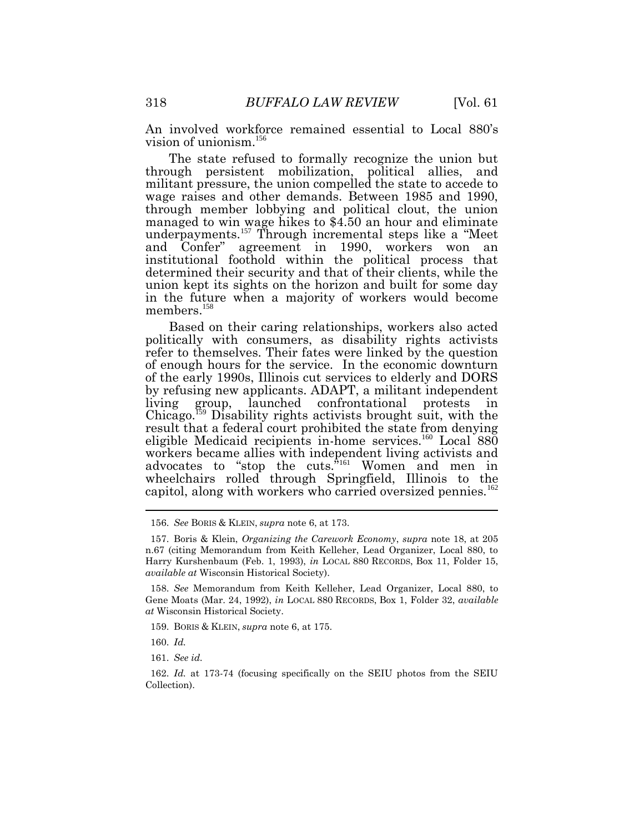An involved workforce remained essential to Local 880's vision of unionism.<sup>156</sup>

The state refused to formally recognize the union but through persistent mobilization, political allies, and militant pressure, the union compelled the state to accede to wage raises and other demands. Between 1985 and 1990, through member lobbying and political clout, the union managed to win wage hikes to \$4.50 an hour and eliminate underpayments.<sup>157</sup> Through incremental steps like a "Meet and Confer" agreement in 1990, workers won an institutional foothold within the political process that determined their security and that of their clients, while the union kept its sights on the horizon and built for some day in the future when a majority of workers would become members.<sup>158</sup>

Based on their caring relationships, workers also acted politically with consumers, as disability rights activists refer to themselves. Their fates were linked by the question of enough hours for the service. In the economic downturn of the early 1990s, Illinois cut services to elderly and DORS by refusing new applicants. ADAPT, a militant independent living group, launched confrontational protests in  $\text{Chicago}$ <sup>159</sup> Disability rights activists brought suit, with the result that a federal court prohibited the state from denying eligible Medicaid recipients in-home services.<sup>160</sup> Local 880 workers became allies with independent living activists and advocates to "stop the cuts.<sup>"161</sup> Women and men in wheelchairs rolled through Springfield, Illinois to the capitol, along with workers who carried oversized pennies.<sup>162</sup>

<sup>156.</sup> *See* BORIS & KLEIN, *supra* note 6, at 173.

<sup>157.</sup> Boris & Klein, *Organizing the Carework Economy*, *supra* note 18, at 205 n.67 (citing Memorandum from Keith Kelleher, Lead Organizer, Local 880, to Harry Kurshenbaum (Feb. 1, 1993), *in* LOCAL 880 RECORDS, Box 11, Folder 15, *available at* Wisconsin Historical Society).

<sup>158.</sup> *See* Memorandum from Keith Kelleher, Lead Organizer, Local 880, to Gene Moats (Mar. 24, 1992), *in* LOCAL 880 RECORDS, Box 1, Folder 32, *available at* Wisconsin Historical Society.

<sup>159.</sup> BORIS & KLEIN, *supra* note 6, at 175.

<sup>160.</sup> *Id.*

<sup>161.</sup> *See id.*

<sup>162.</sup> *Id.* at 173-74 (focusing specifically on the SEIU photos from the SEIU Collection).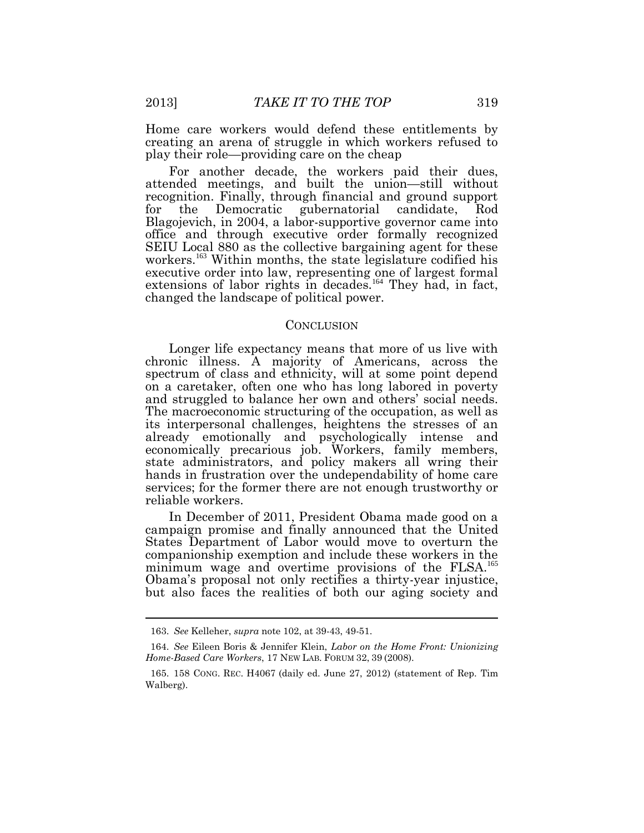Home care workers would defend these entitlements by creating an arena of struggle in which workers refused to play their role—providing care on the cheap

For another decade, the workers paid their dues, attended meetings, and built the union—still without recognition. Finally, through financial and ground support for the Democratic gubernatorial candidate, Rod Blagojevich, in 2004, a labor-supportive governor came into office and through executive order formally recognized SEIU Local 880 as the collective bargaining agent for these workers.<sup>163</sup> Within months, the state legislature codified his executive order into law, representing one of largest formal extensions of labor rights in decades.<sup>164</sup> They had, in fact, changed the landscape of political power.

#### **CONCLUSION**

Longer life expectancy means that more of us live with chronic illness. A majority of Americans, across the spectrum of class and ethnicity, will at some point depend on a caretaker, often one who has long labored in poverty and struggled to balance her own and others' social needs. The macroeconomic structuring of the occupation, as well as its interpersonal challenges, heightens the stresses of an already emotionally and psychologically intense and economically precarious job. Workers, family members, state administrators, and policy makers all wring their hands in frustration over the undependability of home care services; for the former there are not enough trustworthy or reliable workers.

In December of 2011, President Obama made good on a campaign promise and finally announced that the United States Department of Labor would move to overturn the companionship exemption and include these workers in the minimum wage and overtime provisions of the FLSA.<sup>165</sup> Obama's proposal not only rectifies a thirty-year injustice, but also faces the realities of both our aging society and

 $\overline{a}$ 

<sup>163.</sup> *See* Kelleher, *supra* note 102, at 39-43, 49-51.

<sup>164.</sup> *See* Eileen Boris & Jennifer Klein, *Labor on the Home Front: Unionizing Home-Based Care Workers*, 17 NEW LAB. FORUM 32, 39 (2008).

<sup>165. 158</sup> CONG. REC. H4067 (daily ed. June 27, 2012) (statement of Rep. Tim Walberg).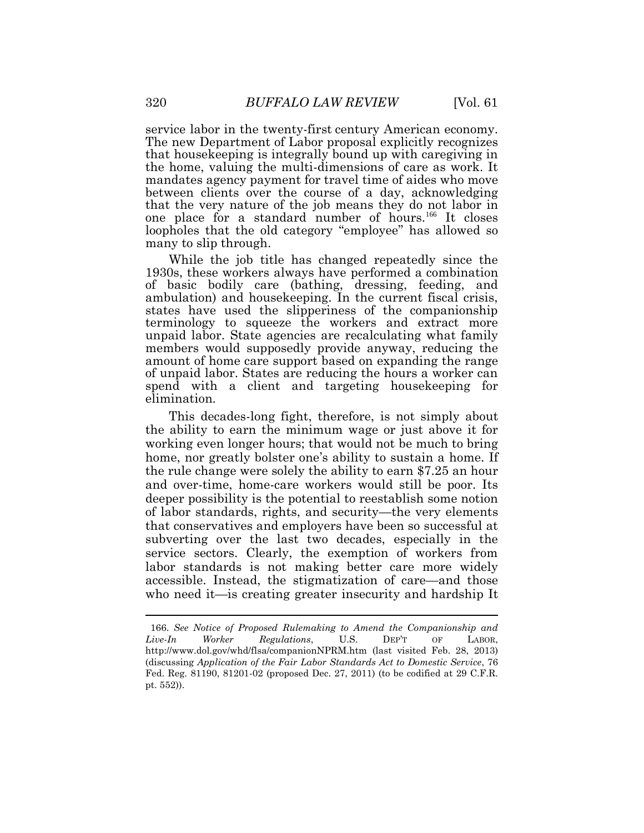service labor in the twenty-first century American economy. The new Department of Labor proposal explicitly recognizes that housekeeping is integrally bound up with caregiving in the home, valuing the multi-dimensions of care as work. It mandates agency payment for travel time of aides who move between clients over the course of a day, acknowledging that the very nature of the job means they do not labor in one place for a standard number of hours.<sup>166</sup> It closes loopholes that the old category "employee" has allowed so many to slip through.

While the job title has changed repeatedly since the 1930s, these workers always have performed a combination of basic bodily care (bathing, dressing, feeding, and ambulation) and housekeeping. In the current fiscal crisis, states have used the slipperiness of the companionship terminology to squeeze the workers and extract more unpaid labor. State agencies are recalculating what family members would supposedly provide anyway, reducing the amount of home care support based on expanding the range of unpaid labor. States are reducing the hours a worker can spend with a client and targeting housekeeping for elimination.

This decades-long fight, therefore, is not simply about the ability to earn the minimum wage or just above it for working even longer hours; that would not be much to bring home, nor greatly bolster one's ability to sustain a home. If the rule change were solely the ability to earn \$7.25 an hour and over-time, home-care workers would still be poor. Its deeper possibility is the potential to reestablish some notion of labor standards, rights, and security—the very elements that conservatives and employers have been so successful at subverting over the last two decades, especially in the service sectors. Clearly, the exemption of workers from labor standards is not making better care more widely accessible. Instead, the stigmatization of care—and those who need it—is creating greater insecurity and hardship It

<sup>166.</sup> *See Notice of Proposed Rulemaking to Amend the Companionship and Live-In Worker Regulations*, U.S. DEP'T OF LABOR, http://www.dol.gov/whd/flsa/companionNPRM.htm (last visited Feb. 28, 2013) (discussing *Application of the Fair Labor Standards Act to Domestic Service*, 76 Fed. Reg. 81190, 81201-02 (proposed Dec. 27, 2011) (to be codified at 29 C.F.R. pt. 552)).